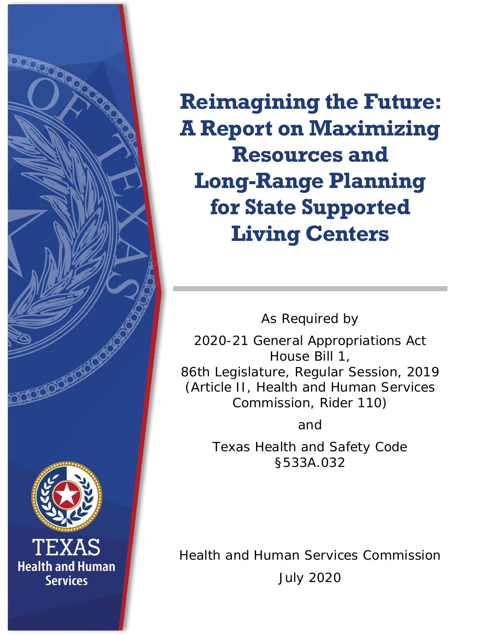

**Reimagining the Future: A Report on Maximizing Resources and Long-Range Planning for State Supported Living Centers**

As Required by

2020-21 General Appropriations Act House Bill 1, 86th Legislature, Regular Session, 2019 (Article II, Health and Human Services Commission, Rider 110)

and

Texas Health and Safety Code §533A.032

Health and Human Services Commission July 2020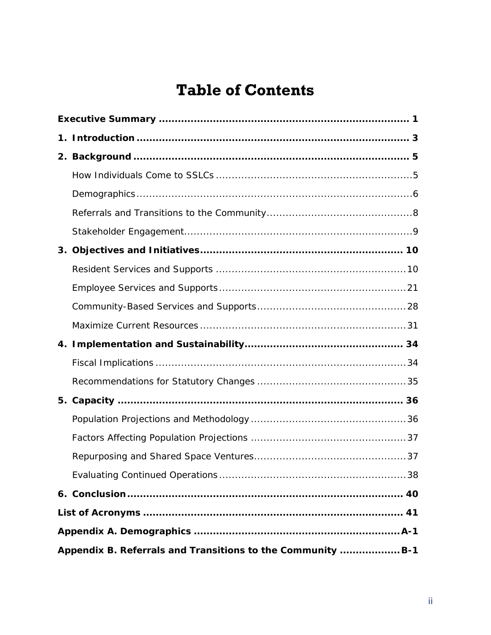# **Table of Contents**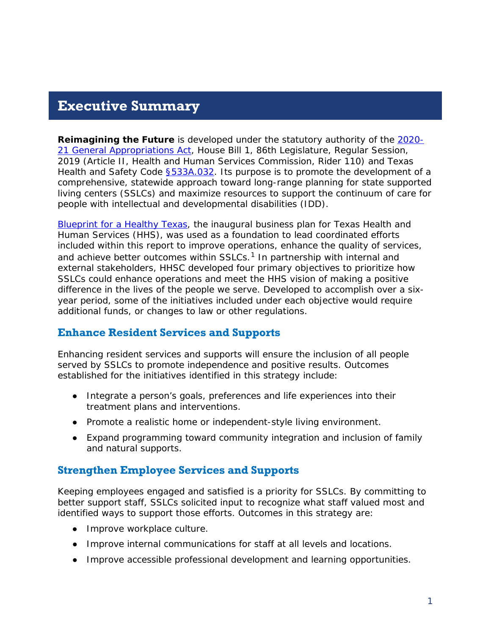#### <span id="page-2-0"></span>**Executive Summary**

**Reimagining the Future** is developed under the statutory authority of the [2020-](https://capitol.texas.gov/tlodocs/86R/billtext/pdf/HB00001F.pdf) [21 General Appropriations Act,](https://capitol.texas.gov/tlodocs/86R/billtext/pdf/HB00001F.pdf) House Bill 1, 86th Legislature, Regular Session, 2019 (Article II, Health and Human Services Commission, Rider 110) and Texas Health and Safety Code **§533A.032**. Its purpose is to promote the development of a comprehensive, statewide approach toward long-range planning for state supported living centers (SSLCs) and maximize resources to support the continuum of care for people with intellectual and developmental disabilities (IDD).

[Blueprint for a Healthy Texas,](https://hhs.texas.gov/sites/default/files/documents/about-hhs/budget-planning/hhs-inaugural-business-plan.pdf) the inaugural business plan for Texas Health and Human Services (HHS), was used as a foundation to lead coordinated efforts included within this report to improve operations, enhance the quality of services, and achieve better outcomes within  $SSCs<sup>1</sup>$  $SSCs<sup>1</sup>$  $SSCs<sup>1</sup>$  In partnership with internal and external stakeholders, HHSC developed four primary objectives to prioritize how SSLCs could enhance operations and meet the HHS vision of making a positive difference in the lives of the people we serve. Developed to accomplish over a sixyear period, some of the initiatives included under each objective would require additional funds, or changes to law or other regulations.

#### **Enhance Resident Services and Supports**

Enhancing resident services and supports will ensure the inclusion of all people served by SSLCs to promote independence and positive results. Outcomes established for the initiatives identified in this strategy include:

- Integrate a person's goals, preferences and life experiences into their treatment plans and interventions.
- Promote a realistic home or independent-style living environment.
- Expand programming toward community integration and inclusion of family and natural supports.

#### **Strengthen Employee Services and Supports**

Keeping employees engaged and satisfied is a priority for SSLCs. By committing to better support staff, SSLCs solicited input to recognize what staff valued most and identified ways to support those efforts. Outcomes in this strategy are:

- Improve workplace culture.
- Improve internal communications for staff at all levels and locations.
- Improve accessible professional development and learning opportunities.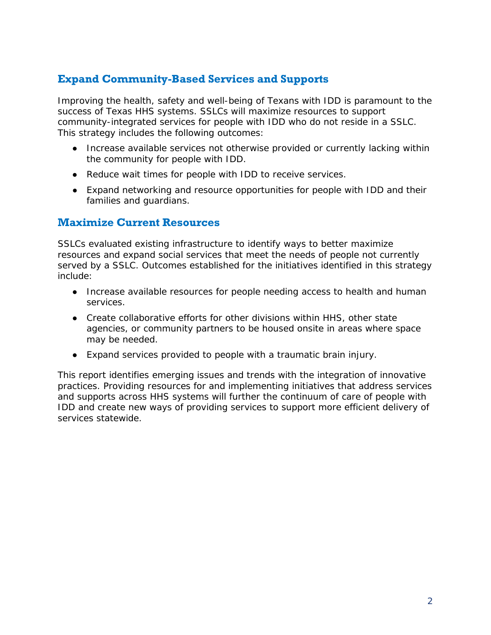#### **Expand Community-Based Services and Supports**

Improving the health, safety and well-being of Texans with IDD is paramount to the success of Texas HHS systems. SSLCs will maximize resources to support community-integrated services for people with IDD who do not reside in a SSLC. This strategy includes the following outcomes:

- Increase available services not otherwise provided or currently lacking within the community for people with IDD.
- Reduce wait times for people with IDD to receive services.
- Expand networking and resource opportunities for people with IDD and their families and guardians.

#### **Maximize Current Resources**

SSLCs evaluated existing infrastructure to identify ways to better maximize resources and expand social services that meet the needs of people not currently served by a SSLC. Outcomes established for the initiatives identified in this strategy include:

- Increase available resources for people needing access to health and human services.
- Create collaborative efforts for other divisions within HHS, other state agencies, or community partners to be housed onsite in areas where space may be needed.
- Expand services provided to people with a traumatic brain injury.

This report identifies emerging issues and trends with the integration of innovative practices. Providing resources for and implementing initiatives that address services and supports across HHS systems will further the continuum of care of people with IDD and create new ways of providing services to support more efficient delivery of services statewide.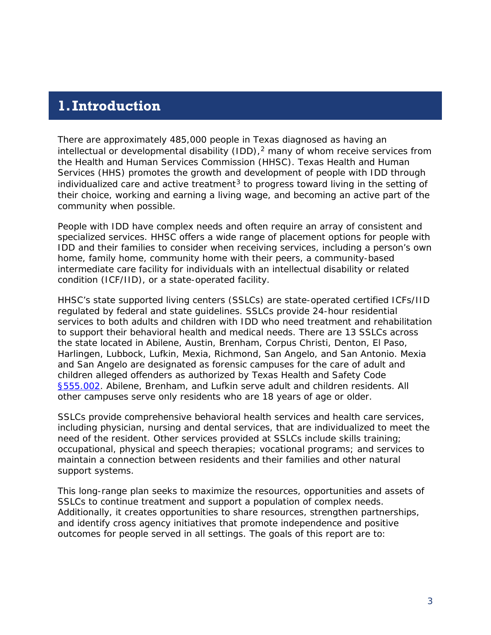#### <span id="page-4-0"></span>**1.Introduction**

There are approximately 485,000 people in Texas diagnosed as having an intellectual or developmental disability (IDD), $<sup>2</sup>$  $<sup>2</sup>$  $<sup>2</sup>$  many of whom receive services from</sup> the Health and Human Services Commission (HHSC). Texas Health and Human Services (HHS) promotes the growth and development of people with IDD through individualized care and active treatment<sup>[3](#page-54-3)</sup> to progress toward living in the setting of their choice, working and earning a living wage, and becoming an active part of the community when possible.

People with IDD have complex needs and often require an array of consistent and specialized services. HHSC offers a wide range of placement options for people with IDD and their families to consider when receiving services, including a person's own home, family home, community home with their peers, a community-based intermediate care facility for individuals with an intellectual disability or related condition (ICF/IID), or a state-operated facility.

HHSC's state supported living centers (SSLCs) are state-operated certified ICFs/IID regulated by federal and state guidelines. SSLCs provide 24-hour residential services to both adults and children with IDD who need treatment and rehabilitation to support their behavioral health and medical needs. There are 13 SSLCs across the state located in Abilene, Austin, Brenham, Corpus Christi, Denton, El Paso, Harlingen, Lubbock, Lufkin, Mexia, Richmond, San Angelo, and San Antonio. Mexia and San Angelo are designated as forensic campuses for the care of adult and children alleged offenders as authorized by Texas Health and Safety Code [§555.002.](https://statutes.capitol.texas.gov/Docs/HS/htm/HS.555.htm#555.002) Abilene, Brenham, and Lufkin serve adult and children residents. All other campuses serve only residents who are 18 years of age or older.

SSLCs provide comprehensive behavioral health services and health care services, including physician, nursing and dental services, that are individualized to meet the need of the resident. Other services provided at SSLCs include skills training; occupational, physical and speech therapies; vocational programs; and services to maintain a connection between residents and their families and other natural support systems.

This long-range plan seeks to maximize the resources, opportunities and assets of SSLCs to continue treatment and support a population of complex needs. Additionally, it creates opportunities to share resources, strengthen partnerships, and identify cross agency initiatives that promote independence and positive outcomes for people served in all settings. The goals of this report are to: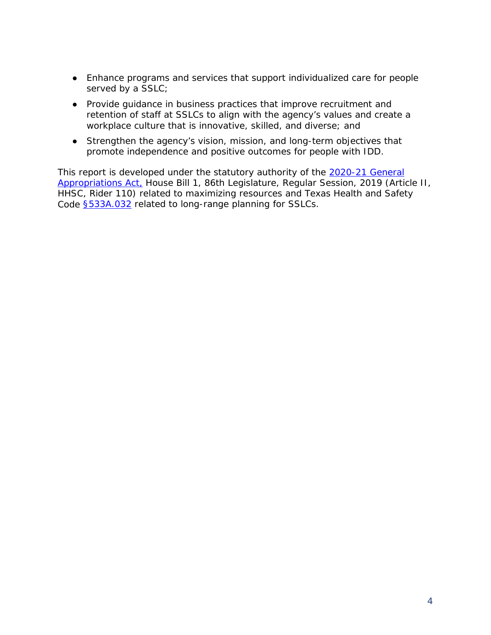- Enhance programs and services that support individualized care for people served by a SSLC;
- Provide guidance in business practices that improve recruitment and retention of staff at SSLCs to align with the agency's values and create a workplace culture that is innovative, skilled, and diverse; and
- Strengthen the agency's vision, mission, and long-term objectives that promote independence and positive outcomes for people with IDD.

This report is developed under the statutory authority of the 2020-21 General [Appropriations Act,](https://capitol.texas.gov/tlodocs/86R/billtext/pdf/HB00001F.pdf) House Bill 1, 86th Legislature, Regular Session, 2019 (Article II, HHSC, Rider 110) related to maximizing resources and Texas Health and Safety Code [§533A.032](https://statutes.capitol.texas.gov/Docs/HS/htm/HS.533A.htm#533A.032) related to long-range planning for SSLCs.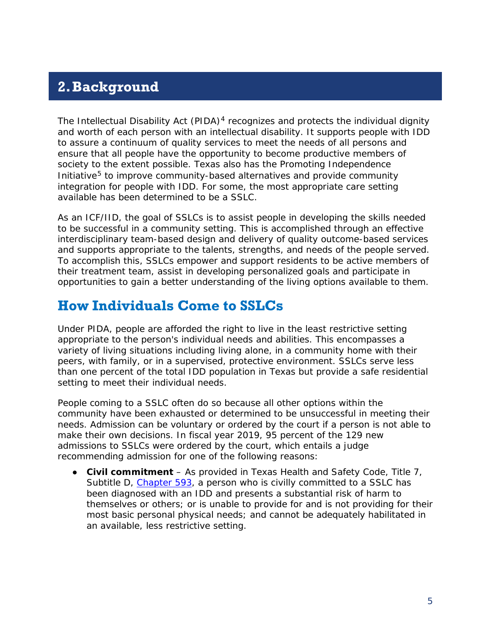# <span id="page-6-0"></span>**2.Background**

The Intellectual Disability Act (PIDA) $<sup>4</sup>$  $<sup>4</sup>$  $<sup>4</sup>$  recognizes and protects the individual dignity</sup> and worth of each person with an intellectual disability. It supports people with IDD to assure a continuum of quality services to meet the needs of all persons and ensure that all people have the opportunity to become productive members of society to the extent possible. Texas also has the Promoting Independence Initiative<sup>[5](#page-54-5)</sup> to improve community-based alternatives and provide community integration for people with IDD. For some, the most appropriate care setting available has been determined to be a SSLC.

As an ICF/IID, the goal of SSLCs is to assist people in developing the skills needed to be successful in a community setting. This is accomplished through an effective interdisciplinary team-based design and delivery of quality outcome-based services and supports appropriate to the talents, strengths, and needs of the people served. To accomplish this, SSLCs empower and support residents to be active members of their treatment team, assist in developing personalized goals and participate in opportunities to gain a better understanding of the living options available to them.

#### <span id="page-6-1"></span>**How Individuals Come to SSLCs**

Under PIDA, people are afforded the right to live in the least restrictive setting appropriate to the person's individual needs and abilities. This encompasses a variety of living situations including living alone, in a community home with their peers, with family, or in a supervised, protective environment. SSLCs serve less than one percent of the total IDD population in Texas but provide a safe residential setting to meet their individual needs.

People coming to a SSLC often do so because all other options within the community have been exhausted or determined to be unsuccessful in meeting their needs. Admission can be voluntary or ordered by the court if a person is not able to make their own decisions. In fiscal year 2019, 95 percent of the 129 new admissions to SSLCs were ordered by the court, which entails a judge recommending admission for one of the following reasons:

● **Civil commitment** – As provided in Texas Health and Safety Code, Title 7, Subtitle D, [Chapter 593,](https://statutes.capitol.texas.gov/Docs/HS/htm/HS.593.htm#593) a person who is civilly committed to a SSLC has been diagnosed with an IDD and presents a substantial risk of harm to themselves or others; or is unable to provide for and is not providing for their most basic personal physical needs; and cannot be adequately habilitated in an available, less restrictive setting.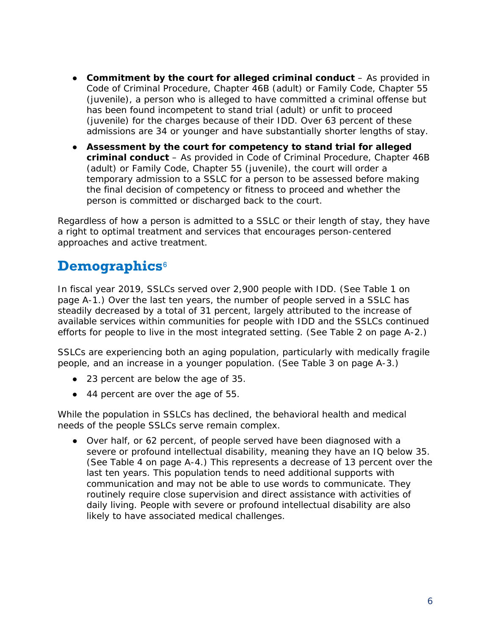- **Commitment by the court for alleged criminal conduct** As provided in Code of Criminal Procedure, Chapter 46B (adult) or Family Code, Chapter 55 (juvenile), a person who is alleged to have committed a criminal offense but has been found incompetent to stand trial (adult) or unfit to proceed (juvenile) for the charges because of their IDD. Over 63 percent of these admissions are 34 or younger and have substantially shorter lengths of stay.
- **Assessment by the court for competency to stand trial for alleged criminal conduct** – As provided in Code of Criminal Procedure, Chapter 46B (adult) or Family Code, Chapter 55 (juvenile), the court will order a temporary admission to a SSLC for a person to be assessed before making the final decision of competency or fitness to proceed and whether the person is committed or discharged back to the court.

Regardless of how a person is admitted to a SSLC or their length of stay, they have a right to optimal treatment and services that encourages person-centered approaches and active treatment.

### <span id="page-7-0"></span>**Demographics**[6](#page-54-6)

In fiscal year 2019, SSLCs served over 2,900 people with IDD. (See Table 1 on page A-1.) Over the last ten years, the number of people served in a SSLC has steadily decreased by a total of 31 percent, largely attributed to the increase of available services within communities for people with IDD and the SSLCs continued efforts for people to live in the most integrated setting. (See Table 2 on page A-2.)

SSLCs are experiencing both an aging population, particularly with medically fragile people, and an increase in a younger population. (See Table 3 on page A-3.)

- 23 percent are below the age of 35.
- 44 percent are over the age of 55.

While the population in SSLCs has declined, the behavioral health and medical needs of the people SSLCs serve remain complex.

● Over half, or 62 percent, of people served have been diagnosed with a severe or profound intellectual disability, meaning they have an IQ below 35. (See Table 4 on page A-4.) This represents a decrease of 13 percent over the last ten years. This population tends to need additional supports with communication and may not be able to use words to communicate. They routinely require close supervision and direct assistance with activities of daily living. People with severe or profound intellectual disability are also likely to have associated medical challenges.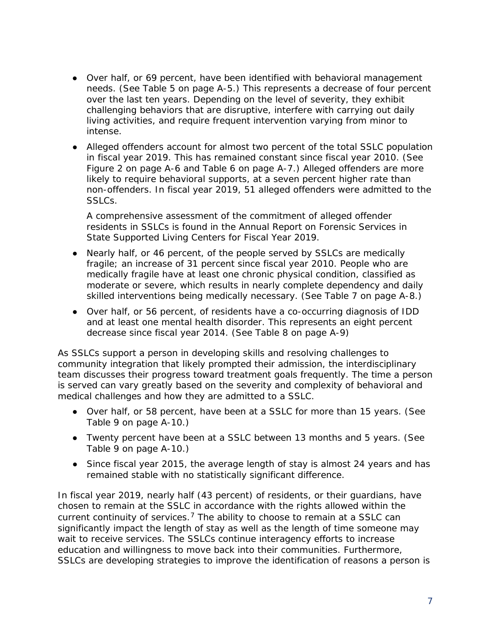- Over half, or 69 percent, have been identified with behavioral management needs. (See Table 5 on page A-5.) This represents a decrease of four percent over the last ten years. Depending on the level of severity, they exhibit challenging behaviors that are disruptive, interfere with carrying out daily living activities, and require frequent intervention varying from minor to intense.
- Alleged offenders account for almost two percent of the total SSLC population in fiscal year 2019. This has remained constant since fiscal year 2010. (See Figure 2 on page A-6 and Table 6 on page A-7.) Alleged offenders are more likely to require behavioral supports, at a seven percent higher rate than non-offenders. In fiscal year 2019, 51 alleged offenders were admitted to the SSLCs.

A comprehensive assessment of the commitment of alleged offender residents in SSLCs is found in the *Annual Report on Forensic Services in State Supported Living Centers for Fiscal Year 2019*.

- Nearly half, or 46 percent, of the people served by SSLCs are medically fragile; an increase of 31 percent since fiscal year 2010. People who are medically fragile have at least one chronic physical condition, classified as moderate or severe, which results in nearly complete dependency and daily skilled interventions being medically necessary. (See Table 7 on page A-8.)
- Over half, or 56 percent, of residents have a co-occurring diagnosis of IDD and at least one mental health disorder. This represents an eight percent decrease since fiscal year 2014. (See Table 8 on page A-9)

As SSLCs support a person in developing skills and resolving challenges to community integration that likely prompted their admission, the interdisciplinary team discusses their progress toward treatment goals frequently. The time a person is served can vary greatly based on the severity and complexity of behavioral and medical challenges and how they are admitted to a SSLC.

- Over half, or 58 percent, have been at a SSLC for more than 15 years. (See Table 9 on page A-10.)
- Twenty percent have been at a SSLC between 13 months and 5 years. (See Table 9 on page A-10.)
- Since fiscal year 2015, the average length of stay is almost 24 years and has remained stable with no statistically significant difference.

In fiscal year 2019, nearly half (43 percent) of residents, or their guardians, have chosen to remain at the SSLC in accordance with the rights allowed within the current continuity of services.<sup>[7](#page-54-7)</sup> The ability to choose to remain at a SSLC can significantly impact the length of stay as well as the length of time someone may wait to receive services. The SSLCs continue interagency efforts to increase education and willingness to move back into their communities. Furthermore, SSLCs are developing strategies to improve the identification of reasons a person is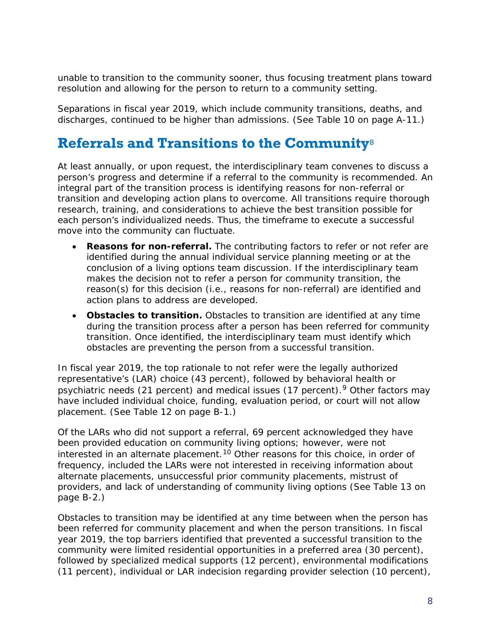unable to transition to the community sooner, thus focusing treatment plans toward resolution and allowing for the person to return to a community setting.

Separations in fiscal year 2019, which include community transitions, deaths, and discharges, continued to be higher than admissions. (See Table 10 on page A-11.)

### <span id="page-9-0"></span>**Referrals and Transitions to the Community**[8](#page-54-8)

At least annually, or upon request, the interdisciplinary team convenes to discuss a person's progress and determine if a referral to the community is recommended. An integral part of the transition process is identifying reasons for non-referral or transition and developing action plans to overcome. All transitions require thorough research, training, and considerations to achieve the best transition possible for each person's individualized needs. Thus, the timeframe to execute a successful move into the community can fluctuate.

- **Reasons for non-referral.** The contributing factors to refer or not refer are identified during the annual individual service planning meeting or at the conclusion of a living options team discussion. If the interdisciplinary team makes the decision not to refer a person for community transition, the reason(s) for this decision (i.e., reasons for non-referral) are identified and action plans to address are developed.
- **Obstacles to transition.** Obstacles to transition are identified at any time during the transition process after a person has been referred for community transition. Once identified, the interdisciplinary team must identify which obstacles are preventing the person from a successful transition.

In fiscal year 2019, the top rationale to not refer were the legally authorized representative's (LAR) choice (43 percent), followed by behavioral health or psychiatric needs (21 percent) and medical issues (17 percent).<sup>[9](#page-54-9)</sup> Other factors may have included individual choice, funding, evaluation period, or court will not allow placement. (See Table 12 on page B-1.)

Of the LARs who did not support a referral, 69 percent acknowledged they have been provided education on community living options; however, were not interested in an alternate placement.<sup>[10](#page-54-10)</sup> Other reasons for this choice, in order of frequency, included the LARs were not interested in receiving information about alternate placements, unsuccessful prior community placements, mistrust of providers, and lack of understanding of community living options (See Table 13 on page B-2.)

Obstacles to transition may be identified at any time between when the person has been referred for community placement and when the person transitions. In fiscal year 2019, the top barriers identified that prevented a successful transition to the community were limited residential opportunities in a preferred area (30 percent), followed by specialized medical supports (12 percent), environmental modifications (11 percent), individual or LAR indecision regarding provider selection (10 percent),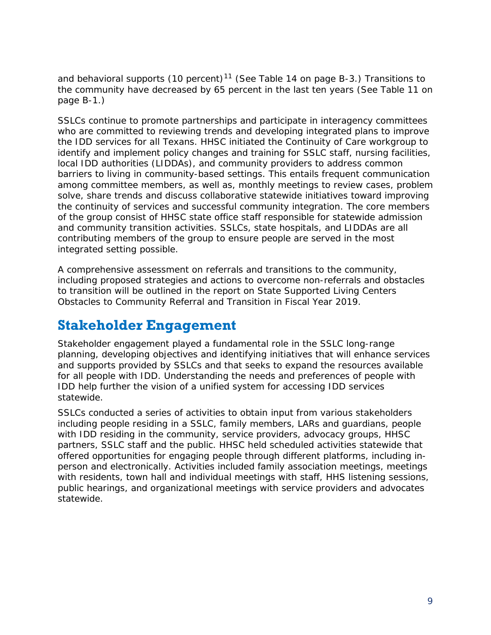and behavioral supports (10 percent)<sup>[11](#page-54-11)</sup> (See Table 14 on page B-3.) Transitions to the community have decreased by 65 percent in the last ten years (See Table 11 on page B-1.)

SSLCs continue to promote partnerships and participate in interagency committees who are committed to reviewing trends and developing integrated plans to improve the IDD services for all Texans. HHSC initiated the Continuity of Care workgroup to identify and implement policy changes and training for SSLC staff, nursing facilities, local IDD authorities (LIDDAs), and community providers to address common barriers to living in community-based settings. This entails frequent communication among committee members, as well as, monthly meetings to review cases, problem solve, share trends and discuss collaborative statewide initiatives toward improving the continuity of services and successful community integration. The core members of the group consist of HHSC state office staff responsible for statewide admission and community transition activities. SSLCs, state hospitals, and LIDDAs are all contributing members of the group to ensure people are served in the most integrated setting possible.

A comprehensive assessment on referrals and transitions to the community, including proposed strategies and actions to overcome non-referrals and obstacles to transition will be outlined in the report on *State Supported Living Centers Obstacles to Community Referral and Transition in Fiscal Year 2019*.

### <span id="page-10-0"></span>**Stakeholder Engagement**

Stakeholder engagement played a fundamental role in the SSLC long-range planning, developing objectives and identifying initiatives that will enhance services and supports provided by SSLCs and that seeks to expand the resources available for all people with IDD. Understanding the needs and preferences of people with IDD help further the vision of a unified system for accessing IDD services statewide.

SSLCs conducted a series of activities to obtain input from various stakeholders including people residing in a SSLC, family members, LARs and guardians, people with IDD residing in the community, service providers, advocacy groups, HHSC partners, SSLC staff and the public. HHSC held scheduled activities statewide that offered opportunities for engaging people through different platforms, including inperson and electronically. Activities included family association meetings, meetings with residents, town hall and individual meetings with staff, HHS listening sessions, public hearings, and organizational meetings with service providers and advocates statewide.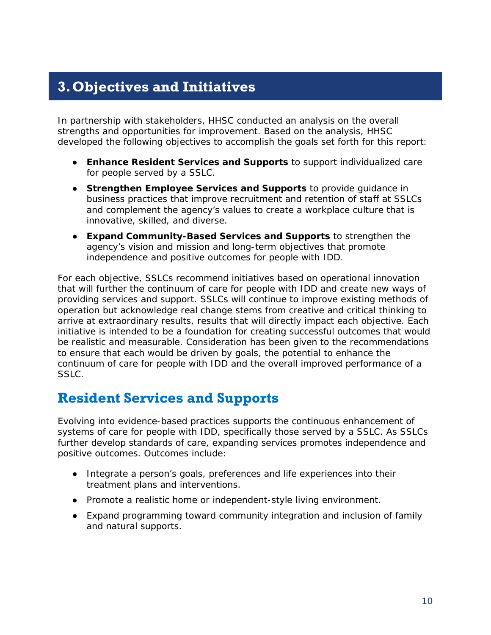# <span id="page-11-0"></span>**3.Objectives and Initiatives**

In partnership with stakeholders, HHSC conducted an analysis on the overall strengths and opportunities for improvement. Based on the analysis, HHSC developed the following objectives to accomplish the goals set forth for this report:

- **Enhance Resident Services and Supports** to support individualized care for people served by a SSLC.
- **Strengthen Employee Services and Supports** to provide quidance in business practices that improve recruitment and retention of staff at SSLCs and complement the agency's values to create a workplace culture that is innovative, skilled, and diverse.
- **Expand Community-Based Services and Supports** to strengthen the agency's vision and mission and long-term objectives that promote independence and positive outcomes for people with IDD.

For each objective, SSLCs recommend initiatives based on operational innovation that will further the continuum of care for people with IDD and create new ways of providing services and support. SSLCs will continue to improve existing methods of operation but acknowledge real change stems from creative and critical thinking to arrive at extraordinary results, results that will directly impact each objective. Each initiative is intended to be a foundation for creating successful outcomes that would be realistic and measurable. Consideration has been given to the recommendations to ensure that each would be driven by goals, the potential to enhance the continuum of care for people with IDD and the overall improved performance of a SSLC.

### <span id="page-11-1"></span>**Resident Services and Supports**

Evolving into evidence-based practices supports the continuous enhancement of systems of care for people with IDD, specifically those served by a SSLC. As SSLCs further develop standards of care, expanding services promotes independence and positive outcomes. Outcomes include:

- Integrate a person's goals, preferences and life experiences into their treatment plans and interventions.
- Promote a realistic home or independent-style living environment.
- Expand programming toward community integration and inclusion of family and natural supports.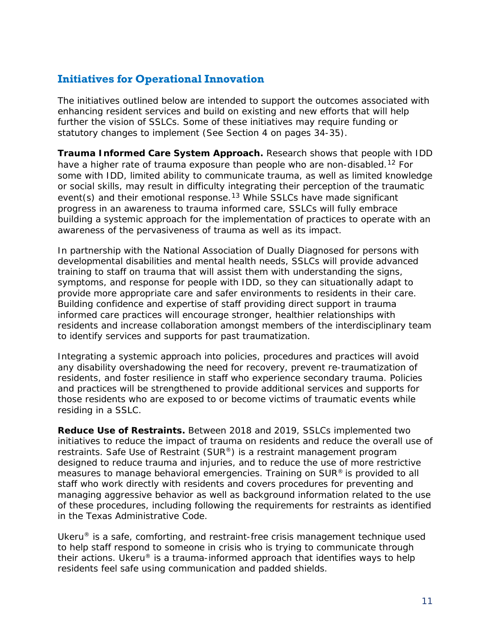#### **Initiatives for Operational Innovation**

The initiatives outlined below are intended to support the outcomes associated with enhancing resident services and build on existing and new efforts that will help further the vision of SSLCs. Some of these initiatives may require funding or statutory changes to implement (See Section 4 on pages 34-35).

**Trauma Informed Care System Approach.** Research shows that people with IDD have a higher rate of trauma exposure than people who are non-disabled.<sup>[12](#page-54-12)</sup> For some with IDD, limited ability to communicate trauma, as well as limited knowledge or social skills, may result in difficulty integrating their perception of the traumatic event(s) and their emotional response.<sup>[13](#page-54-13)</sup> While SSLCs have made significant progress in an awareness to trauma informed care, SSLCs will fully embrace building a systemic approach for the implementation of practices to operate with an awareness of the pervasiveness of trauma as well as its impact.

In partnership with the National Association of Dually Diagnosed for persons with developmental disabilities and mental health needs, SSLCs will provide advanced training to staff on trauma that will assist them with understanding the signs, symptoms, and response for people with IDD, so they can situationally adapt to provide more appropriate care and safer environments to residents in their care. Building confidence and expertise of staff providing direct support in trauma informed care practices will encourage stronger, healthier relationships with residents and increase collaboration amongst members of the interdisciplinary team to identify services and supports for past traumatization.

Integrating a systemic approach into policies, procedures and practices will avoid any disability overshadowing the need for recovery, prevent re-traumatization of residents, and foster resilience in staff who experience secondary trauma. Policies and practices will be strengthened to provide additional services and supports for those residents who are exposed to or become victims of traumatic events while residing in a SSLC.

**Reduce Use of Restraints.** Between 2018 and 2019, SSLCs implemented two initiatives to reduce the impact of trauma on residents and reduce the overall use of restraints. Safe Use of Restraint (SUR®) is a restraint management program designed to reduce trauma and injuries, and to reduce the use of more restrictive measures to manage behavioral emergencies. Training on SUR® is provided to all staff who work directly with residents and covers procedures for preventing and managing aggressive behavior as well as background information related to the use of these procedures, including following the requirements for restraints as identified in the Texas Administrative Code.

Ukeru® is a safe, comforting, and restraint-free crisis management technique used to help staff respond to someone in crisis who is trying to communicate through their actions. Ukeru<sup>®</sup> is a trauma-informed approach that identifies ways to help residents feel safe using communication and padded shields.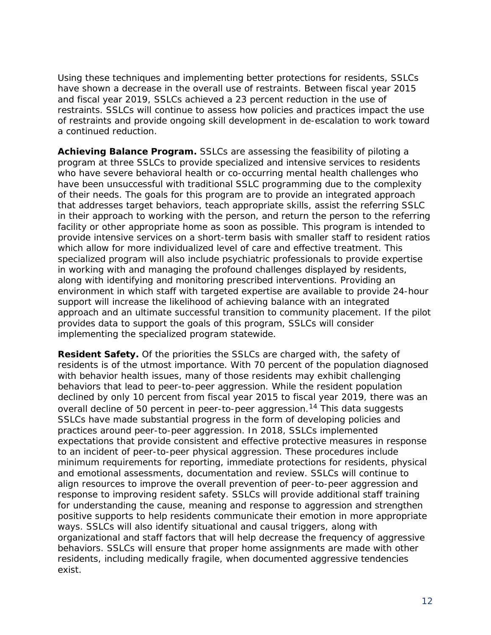Using these techniques and implementing better protections for residents, SSLCs have shown a decrease in the overall use of restraints. Between fiscal year 2015 and fiscal year 2019, SSLCs achieved a 23 percent reduction in the use of restraints. SSLCs will continue to assess how policies and practices impact the use of restraints and provide ongoing skill development in de-escalation to work toward a continued reduction.

**Achieving Balance Program.** SSLCs are assessing the feasibility of piloting a program at three SSLCs to provide specialized and intensive services to residents who have severe behavioral health or co-occurring mental health challenges who have been unsuccessful with traditional SSLC programming due to the complexity of their needs. The goals for this program are to provide an integrated approach that addresses target behaviors, teach appropriate skills, assist the referring SSLC in their approach to working with the person, and return the person to the referring facility or other appropriate home as soon as possible. This program is intended to provide intensive services on a short-term basis with smaller staff to resident ratios which allow for more individualized level of care and effective treatment. This specialized program will also include psychiatric professionals to provide expertise in working with and managing the profound challenges displayed by residents, along with identifying and monitoring prescribed interventions. Providing an environment in which staff with targeted expertise are available to provide 24-hour support will increase the likelihood of achieving balance with an integrated approach and an ultimate successful transition to community placement. If the pilot provides data to support the goals of this program, SSLCs will consider implementing the specialized program statewide.

**Resident Safety.** Of the priorities the SSLCs are charged with, the safety of residents is of the utmost importance. With 70 percent of the population diagnosed with behavior health issues, many of those residents may exhibit challenging behaviors that lead to peer-to-peer aggression. While the resident population declined by only 10 percent from fiscal year 2015 to fiscal year 2019, there was an overall decline of 50 percent in peer-to-peer aggression.<sup>[14](#page-54-14)</sup> This data suggests SSLCs have made substantial progress in the form of developing policies and practices around peer-to-peer aggression. In 2018, SSLCs implemented expectations that provide consistent and effective protective measures in response to an incident of peer-to-peer physical aggression. These procedures include minimum requirements for reporting, immediate protections for residents, physical and emotional assessments, documentation and review. SSLCs will continue to align resources to improve the overall prevention of peer-to-peer aggression and response to improving resident safety. SSLCs will provide additional staff training for understanding the cause, meaning and response to aggression and strengthen positive supports to help residents communicate their emotion in more appropriate ways. SSLCs will also identify situational and causal triggers, along with organizational and staff factors that will help decrease the frequency of aggressive behaviors. SSLCs will ensure that proper home assignments are made with other residents, including medically fragile, when documented aggressive tendencies exist.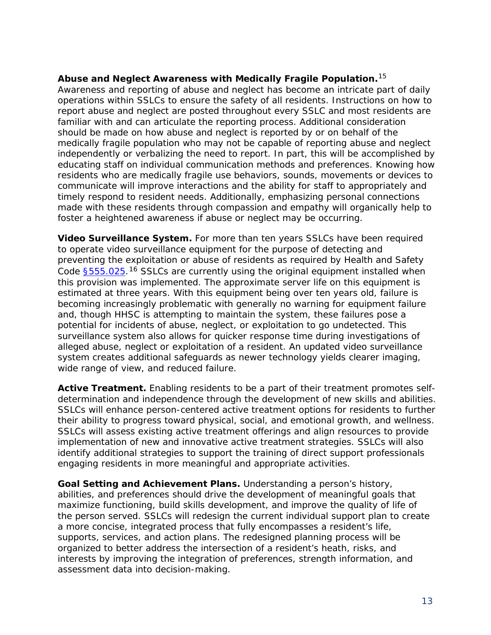#### **Abuse and Neglect Awareness with Medically Fragile Population.**[15](#page-54-15)

Awareness and reporting of abuse and neglect has become an intricate part of daily operations within SSLCs to ensure the safety of all residents. Instructions on how to report abuse and neglect are posted throughout every SSLC and most residents are familiar with and can articulate the reporting process. Additional consideration should be made on how abuse and neglect is reported by or on behalf of the medically fragile population who may not be capable of reporting abuse and neglect independently or verbalizing the need to report. In part, this will be accomplished by educating staff on individual communication methods and preferences. Knowing how residents who are medically fragile use behaviors, sounds, movements or devices to communicate will improve interactions and the ability for staff to appropriately and timely respond to resident needs. Additionally, emphasizing personal connections made with these residents through compassion and empathy will organically help to foster a heightened awareness if abuse or neglect may be occurring.

**Video Surveillance System.** For more than ten years SSLCs have been required to operate video surveillance equipment for the purpose of detecting and preventing the exploitation or abuse of residents as required by Health and Safety Code \$555.025.<sup>[16](#page-54-16)</sup> SSLCs are currently using the original equipment installed when this provision was implemented. The approximate server life on this equipment is estimated at three years. With this equipment being over ten years old, failure is becoming increasingly problematic with generally no warning for equipment failure and, though HHSC is attempting to maintain the system, these failures pose a potential for incidents of abuse, neglect, or exploitation to go undetected. This surveillance system also allows for quicker response time during investigations of alleged abuse, neglect or exploitation of a resident. An updated video surveillance system creates additional safeguards as newer technology yields clearer imaging, wide range of view, and reduced failure.

**Active Treatment.** Enabling residents to be a part of their treatment promotes selfdetermination and independence through the development of new skills and abilities. SSLCs will enhance person-centered active treatment options for residents to further their ability to progress toward physical, social, and emotional growth, and wellness. SSLCs will assess existing active treatment offerings and align resources to provide implementation of new and innovative active treatment strategies. SSLCs will also identify additional strategies to support the training of direct support professionals engaging residents in more meaningful and appropriate activities.

**Goal Setting and Achievement Plans.** Understanding a person's history, abilities, and preferences should drive the development of meaningful goals that maximize functioning, build skills development, and improve the quality of life of the person served. SSLCs will redesign the current individual support plan to create a more concise, integrated process that fully encompasses a resident's life, supports, services, and action plans. The redesigned planning process will be organized to better address the intersection of a resident's heath, risks, and interests by improving the integration of preferences, strength information, and assessment data into decision-making.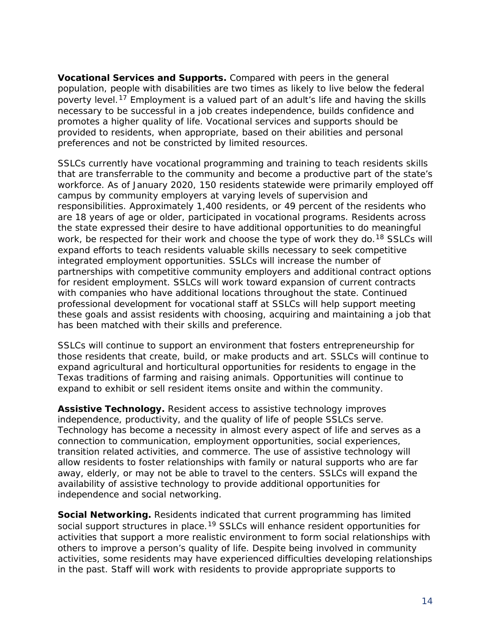**Vocational Services and Supports.** Compared with peers in the general population, people with disabilities are two times as likely to live below the federal poverty level.<sup>[17](#page-54-17)</sup> Employment is a valued part of an adult's life and having the skills necessary to be successful in a job creates independence, builds confidence and promotes a higher quality of life. Vocational services and supports should be provided to residents, when appropriate, based on their abilities and personal preferences and not be constricted by limited resources.

SSLCs currently have vocational programming and training to teach residents skills that are transferrable to the community and become a productive part of the state's workforce. As of January 2020, 150 residents statewide were primarily employed off campus by community employers at varying levels of supervision and responsibilities. Approximately 1,400 residents, or 49 percent of the residents who are 18 years of age or older, participated in vocational programs. Residents across the state expressed their desire to have additional opportunities to do meaningful work, be respected for their work and choose the type of work they do.<sup>[18](#page-54-18)</sup> SSLCs will expand efforts to teach residents valuable skills necessary to seek competitive integrated employment opportunities. SSLCs will increase the number of partnerships with competitive community employers and additional contract options for resident employment. SSLCs will work toward expansion of current contracts with companies who have additional locations throughout the state. Continued professional development for vocational staff at SSLCs will help support meeting these goals and assist residents with choosing, acquiring and maintaining a job that has been matched with their skills and preference.

SSLCs will continue to support an environment that fosters entrepreneurship for those residents that create, build, or make products and art. SSLCs will continue to expand agricultural and horticultural opportunities for residents to engage in the Texas traditions of farming and raising animals. Opportunities will continue to expand to exhibit or sell resident items onsite and within the community.

**Assistive Technology.** Resident access to assistive technology improves independence, productivity, and the quality of life of people SSLCs serve. Technology has become a necessity in almost every aspect of life and serves as a connection to communication, employment opportunities, social experiences, transition related activities, and commerce. The use of assistive technology will allow residents to foster relationships with family or natural supports who are far away, elderly, or may not be able to travel to the centers. SSLCs will expand the availability of assistive technology to provide additional opportunities for independence and social networking.

**Social Networking.** Residents indicated that current programming has limited social support structures in place.<sup>[19](#page-54-19)</sup> SSLCs will enhance resident opportunities for activities that support a more realistic environment to form social relationships with others to improve a person's quality of life. Despite being involved in community activities, some residents may have experienced difficulties developing relationships in the past. Staff will work with residents to provide appropriate supports to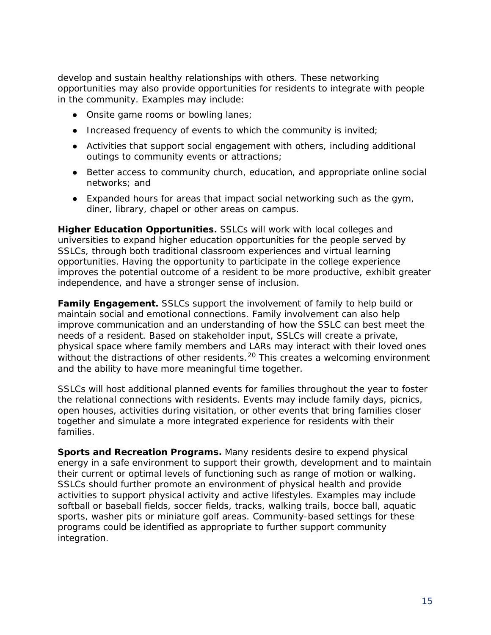develop and sustain healthy relationships with others. These networking opportunities may also provide opportunities for residents to integrate with people in the community. Examples may include:

- Onsite game rooms or bowling lanes;
- Increased frequency of events to which the community is invited;
- Activities that support social engagement with others, including additional outings to community events or attractions;
- Better access to community church, education, and appropriate online social networks; and
- Expanded hours for areas that impact social networking such as the gym, diner, library, chapel or other areas on campus.

**Higher Education Opportunities.** SSLCs will work with local colleges and universities to expand higher education opportunities for the people served by SSLCs, through both traditional classroom experiences and virtual learning opportunities. Having the opportunity to participate in the college experience improves the potential outcome of a resident to be more productive, exhibit greater independence, and have a stronger sense of inclusion.

**Family Engagement.** SSLCs support the involvement of family to help build or maintain social and emotional connections. Family involvement can also help improve communication and an understanding of how the SSLC can best meet the needs of a resident. Based on stakeholder input, SSLCs will create a private, physical space where family members and LARs may interact with their loved ones without the distractions of other residents.<sup>[20](#page-54-20)</sup> This creates a welcoming environment and the ability to have more meaningful time together.

SSLCs will host additional planned events for families throughout the year to foster the relational connections with residents. Events may include family days, picnics, open houses, activities during visitation, or other events that bring families closer together and simulate a more integrated experience for residents with their families.

**Sports and Recreation Programs.** Many residents desire to expend physical energy in a safe environment to support their growth, development and to maintain their current or optimal levels of functioning such as range of motion or walking. SSLCs should further promote an environment of physical health and provide activities to support physical activity and active lifestyles. Examples may include softball or baseball fields, soccer fields, tracks, walking trails, bocce ball, aquatic sports, washer pits or miniature golf areas. Community-based settings for these programs could be identified as appropriate to further support community integration.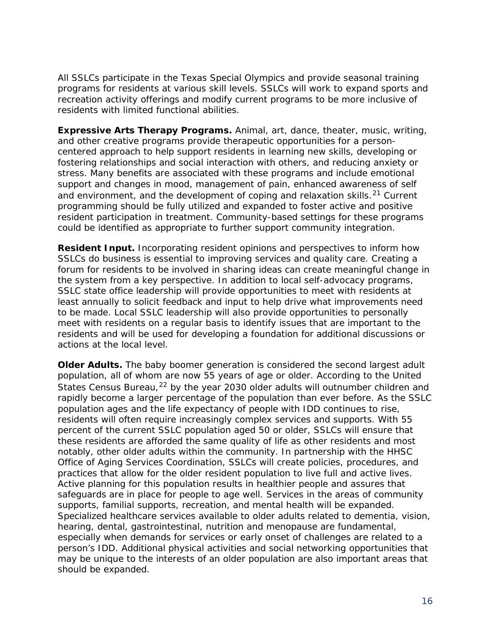All SSLCs participate in the Texas Special Olympics and provide seasonal training programs for residents at various skill levels. SSLCs will work to expand sports and recreation activity offerings and modify current programs to be more inclusive of residents with limited functional abilities.

**Expressive Arts Therapy Programs.** Animal, art, dance, theater, music, writing, and other creative programs provide therapeutic opportunities for a personcentered approach to help support residents in learning new skills, developing or fostering relationships and social interaction with others, and reducing anxiety or stress. Many benefits are associated with these programs and include emotional support and changes in mood, management of pain, enhanced awareness of self and environment, and the development of coping and relaxation skills.<sup>[21](#page-54-21)</sup> Current programming should be fully utilized and expanded to foster active and positive resident participation in treatment. Community-based settings for these programs could be identified as appropriate to further support community integration.

**Resident Input.** Incorporating resident opinions and perspectives to inform how SSLCs do business is essential to improving services and quality care. Creating a forum for residents to be involved in sharing ideas can create meaningful change in the system from a key perspective. In addition to local self-advocacy programs, SSLC state office leadership will provide opportunities to meet with residents at least annually to solicit feedback and input to help drive what improvements need to be made. Local SSLC leadership will also provide opportunities to personally meet with residents on a regular basis to identify issues that are important to the residents and will be used for developing a foundation for additional discussions or actions at the local level.

**Older Adults.** The baby boomer generation is considered the second largest adult population, all of whom are now 55 years of age or older. According to the United States Census Bureau, $^{22}$  $^{22}$  $^{22}$  by the year 2030 older adults will outnumber children and rapidly become a larger percentage of the population than ever before. As the SSLC population ages and the life expectancy of people with IDD continues to rise, residents will often require increasingly complex services and supports. With 55 percent of the current SSLC population aged 50 or older, SSLCs will ensure that these residents are afforded the same quality of life as other residents and most notably, other older adults within the community. In partnership with the HHSC Office of Aging Services Coordination, SSLCs will create policies, procedures, and practices that allow for the older resident population to live full and active lives. Active planning for this population results in healthier people and assures that safeguards are in place for people to age well. Services in the areas of community supports, familial supports, recreation, and mental health will be expanded. Specialized healthcare services available to older adults related to dementia, vision, hearing, dental, gastrointestinal, nutrition and menopause are fundamental, especially when demands for services or early onset of challenges are related to a person's IDD. Additional physical activities and social networking opportunities that may be unique to the interests of an older population are also important areas that should be expanded.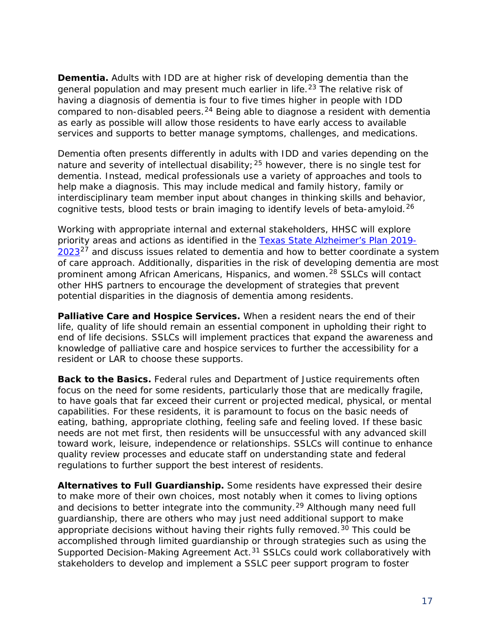**Dementia.** Adults with IDD are at higher risk of developing dementia than the general population and may present much earlier in life.<sup>[23](#page-54-23)</sup> The relative risk of having a diagnosis of dementia is four to five times higher in people with IDD compared to non-disabled peers.<sup>[24](#page-55-0)</sup> Being able to diagnose a resident with dementia as early as possible will allow those residents to have early access to available services and supports to better manage symptoms, challenges, and medications.

Dementia often presents differently in adults with IDD and varies depending on the nature and severity of intellectual disability;  $25$  however, there is no single test for dementia. Instead, medical professionals use a variety of approaches and tools to help make a diagnosis. This may include medical and family history, family or interdisciplinary team member input about changes in thinking skills and behavior, cognitive tests, blood tests or brain imaging to identify levels of beta-amyloid.<sup>[26](#page-55-2)</sup>

Working with appropriate internal and external stakeholders, HHSC will explore priority areas and actions as identified in the [Texas State Alzheimer's Plan 2019-](https://www.dshs.texas.gov/alzheimers/pdf/Alzheimers-Disease-State-Plan-2019-2023.pdf)  $2023^{27}$  $2023^{27}$  $2023^{27}$  $2023^{27}$  and discuss issues related to dementia and how to better coordinate a system of care approach. Additionally, disparities in the risk of developing dementia are most prominent among African Americans, Hispanics, and women.<sup>[28](#page-55-4)</sup> SSLCs will contact other HHS partners to encourage the development of strategies that prevent potential disparities in the diagnosis of dementia among residents.

**Palliative Care and Hospice Services.** When a resident nears the end of their life, quality of life should remain an essential component in upholding their right to end of life decisions. SSLCs will implement practices that expand the awareness and knowledge of palliative care and hospice services to further the accessibility for a resident or LAR to choose these supports.

**Back to the Basics.** Federal rules and Department of Justice requirements often focus on the need for some residents, particularly those that are medically fragile, to have goals that far exceed their current or projected medical, physical, or mental capabilities. For these residents, it is paramount to focus on the basic needs of eating, bathing, appropriate clothing, feeling safe and feeling loved. If these basic needs are not met first, then residents will be unsuccessful with any advanced skill toward work, leisure, independence or relationships. SSLCs will continue to enhance quality review processes and educate staff on understanding state and federal regulations to further support the best interest of residents.

**Alternatives to Full Guardianship.** Some residents have expressed their desire to make more of their own choices, most notably when it comes to living options and decisions to better integrate into the community.<sup>[29](#page-55-5)</sup> Although many need full guardianship, there are others who may just need additional support to make appropriate decisions without having their rights fully removed.<sup>[30](#page-55-6)</sup> This could be accomplished through limited guardianship or through strategies such as using the Supported Decision-Making Agreement Act.<sup>[31](#page-55-7)</sup> SSLCs could work collaboratively with stakeholders to develop and implement a SSLC peer support program to foster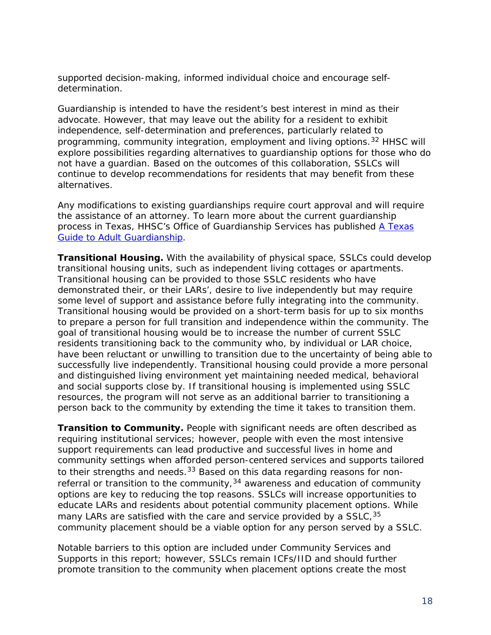supported decision-making, informed individual choice and encourage selfdetermination.

Guardianship is intended to have the resident's best interest in mind as their advocate. However, that may leave out the ability for a resident to exhibit independence, self-determination and preferences, particularly related to programming, community integration, employment and living options.<sup>[32](#page-55-8)</sup> HHSC will explore possibilities regarding alternatives to guardianship options for those who do not have a guardian. Based on the outcomes of this collaboration, SSLCs will continue to develop recommendations for residents that may benefit from these alternatives.

Any modifications to existing guardianships require court approval and will require the assistance of an attorney. To learn more about the current guardianship process in Texas, HHSC's Office of Guardianship Services has published [A Texas](https://hhs.texas.gov/sites/default/files/documents/laws-regulations/legal-information/guardianship/pub395-guardianship.pdf)  [Guide to Adult Guardianship.](https://hhs.texas.gov/sites/default/files/documents/laws-regulations/legal-information/guardianship/pub395-guardianship.pdf)

**Transitional Housing.** With the availability of physical space, SSLCs could develop transitional housing units, such as independent living cottages or apartments. Transitional housing can be provided to those SSLC residents who have demonstrated their, or their LARs', desire to live independently but may require some level of support and assistance before fully integrating into the community. Transitional housing would be provided on a short-term basis for up to six months to prepare a person for full transition and independence within the community. The goal of transitional housing would be to increase the number of current SSLC residents transitioning back to the community who, by individual or LAR choice, have been reluctant or unwilling to transition due to the uncertainty of being able to successfully live independently. Transitional housing could provide a more personal and distinguished living environment yet maintaining needed medical, behavioral and social supports close by. If transitional housing is implemented using SSLC resources, the program will not serve as an additional barrier to transitioning a person back to the community by extending the time it takes to transition them.

**Transition to Community.** People with significant needs are often described as requiring institutional services; however, people with even the most intensive support requirements can lead productive and successful lives in home and community settings when afforded person-centered services and supports tailored to their strengths and needs.<sup>[33](#page-55-9)</sup> Based on this data regarding reasons for nonreferral or transition to the community,  $34$  awareness and education of community options are key to reducing the top reasons. SSLCs will increase opportunities to educate LARs and residents about potential community placement options. While many LARs are satisfied with the care and service provided by a SSLC, [35](#page-55-11) community placement should be a viable option for any person served by a SSLC.

Notable barriers to this option are included under Community Services and Supports in this report; however, SSLCs remain ICFs/IID and should further promote transition to the community when placement options create the most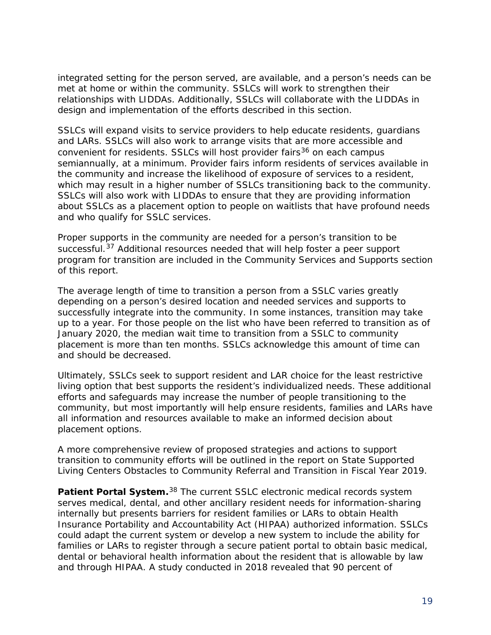integrated setting for the person served, are available, and a person's needs can be met at home or within the community. SSLCs will work to strengthen their relationships with LIDDAs. Additionally, SSLCs will collaborate with the LIDDAs in design and implementation of the efforts described in this section.

SSLCs will expand visits to service providers to help educate residents, guardians and LARs. SSLCs will also work to arrange visits that are more accessible and convenient for residents. SSLCs will host provider fairs<sup>[36](#page-55-12)</sup> on each campus semiannually, at a minimum. Provider fairs inform residents of services available in the community and increase the likelihood of exposure of services to a resident, which may result in a higher number of SSLCs transitioning back to the community. SSLCs will also work with LIDDAs to ensure that they are providing information about SSLCs as a placement option to people on waitlists that have profound needs and who qualify for SSLC services.

Proper supports in the community are needed for a person's transition to be successful.<sup>[37](#page-55-13)</sup> Additional resources needed that will help foster a peer support program for transition are included in the Community Services and Supports section of this report.

The average length of time to transition a person from a SSLC varies greatly depending on a person's desired location and needed services and supports to successfully integrate into the community. In some instances, transition may take up to a year. For those people on the list who have been referred to transition as of January 2020, the median wait time to transition from a SSLC to community placement is more than ten months. SSLCs acknowledge this amount of time can and should be decreased.

Ultimately, SSLCs seek to support resident and LAR choice for the least restrictive living option that best supports the resident's individualized needs. These additional efforts and safeguards may increase the number of people transitioning to the community, but most importantly will help ensure residents, families and LARs have all information and resources available to make an informed decision about placement options.

A more comprehensive review of proposed strategies and actions to support transition to community efforts will be outlined in the report on *State Supported Living Centers Obstacles to Community Referral and Transition in Fiscal Year 2019*.

**Patient Portal System.**[38](#page-55-14) The current SSLC electronic medical records system serves medical, dental, and other ancillary resident needs for information-sharing internally but presents barriers for resident families or LARs to obtain Health Insurance Portability and Accountability Act (HIPAA) authorized information. SSLCs could adapt the current system or develop a new system to include the ability for families or LARs to register through a secure patient portal to obtain basic medical, dental or behavioral health information about the resident that is allowable by law and through HIPAA. A study conducted in 2018 revealed that 90 percent of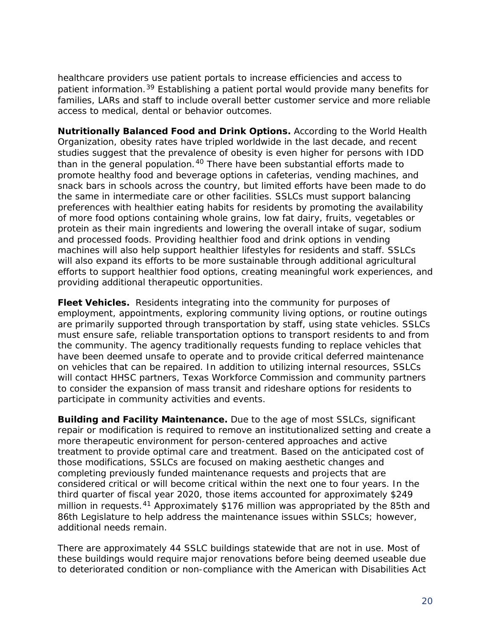healthcare providers use patient portals to increase efficiencies and access to patient information.<sup>[39](#page-55-15)</sup> Establishing a patient portal would provide many benefits for families, LARs and staff to include overall better customer service and more reliable access to medical, dental or behavior outcomes.

**Nutritionally Balanced Food and Drink Options.** According to the World Health Organization, obesity rates have tripled worldwide in the last decade, and recent studies suggest that the prevalence of obesity is even higher for persons with IDD than in the general population.<sup>[40](#page-55-16)</sup> There have been substantial efforts made to promote healthy food and beverage options in cafeterias, vending machines, and snack bars in schools across the country, but limited efforts have been made to do the same in intermediate care or other facilities. SSLCs must support balancing preferences with healthier eating habits for residents by promoting the availability of more food options containing whole grains, low fat dairy, fruits, vegetables or protein as their main ingredients and lowering the overall intake of sugar, sodium and processed foods. Providing healthier food and drink options in vending machines will also help support healthier lifestyles for residents and staff. SSLCs will also expand its efforts to be more sustainable through additional agricultural efforts to support healthier food options, creating meaningful work experiences, and providing additional therapeutic opportunities.

**Fleet Vehicles.** Residents integrating into the community for purposes of employment, appointments, exploring community living options, or routine outings are primarily supported through transportation by staff, using state vehicles. SSLCs must ensure safe, reliable transportation options to transport residents to and from the community. The agency traditionally requests funding to replace vehicles that have been deemed unsafe to operate and to provide critical deferred maintenance on vehicles that can be repaired. In addition to utilizing internal resources, SSLCs will contact HHSC partners, Texas Workforce Commission and community partners to consider the expansion of mass transit and rideshare options for residents to participate in community activities and events.

**Building and Facility Maintenance.** Due to the age of most SSLCs, significant repair or modification is required to remove an institutionalized setting and create a more therapeutic environment for person-centered approaches and active treatment to provide optimal care and treatment. Based on the anticipated cost of those modifications, SSLCs are focused on making aesthetic changes and completing previously funded maintenance requests and projects that are considered critical or will become critical within the next one to four years. In the third quarter of fiscal year 2020, those items accounted for approximately \$249 million in requests.<sup>[41](#page-55-17)</sup> Approximately \$176 million was appropriated by the 85th and 86th Legislature to help address the maintenance issues within SSLCs; however, additional needs remain.

There are approximately 44 SSLC buildings statewide that are not in use. Most of these buildings would require major renovations before being deemed useable due to deteriorated condition or non-compliance with the American with Disabilities Act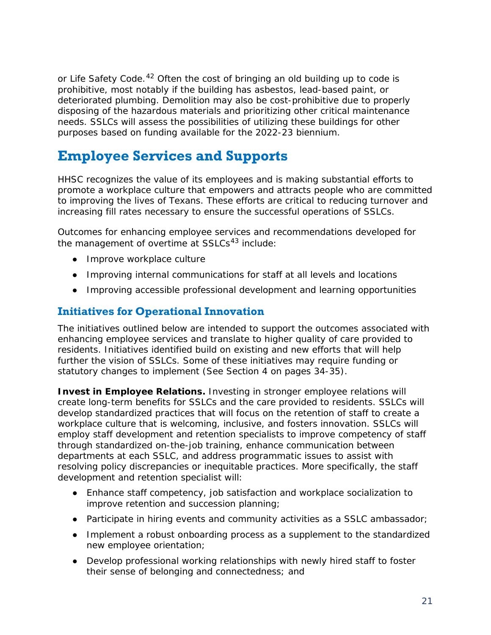or Life Safety Code.<sup>[42](#page-55-18)</sup> Often the cost of bringing an old building up to code is prohibitive, most notably if the building has asbestos, lead-based paint, or deteriorated plumbing. Demolition may also be cost-prohibitive due to properly disposing of the hazardous materials and prioritizing other critical maintenance needs. SSLCs will assess the possibilities of utilizing these buildings for other purposes based on funding available for the 2022-23 biennium.

# <span id="page-22-0"></span>**Employee Services and Supports**

HHSC recognizes the value of its employees and is making substantial efforts to promote a workplace culture that empowers and attracts people who are committed to improving the lives of Texans. These efforts are critical to reducing turnover and increasing fill rates necessary to ensure the successful operations of SSLCs.

Outcomes for enhancing employee services and recommendations developed for the management of overtime at  $SSLCs<sup>43</sup>$  $SSLCs<sup>43</sup>$  $SSLCs<sup>43</sup>$  include:

- Improve workplace culture
- Improving internal communications for staff at all levels and locations
- Improving accessible professional development and learning opportunities

#### **Initiatives for Operational Innovation**

The initiatives outlined below are intended to support the outcomes associated with enhancing employee services and translate to higher quality of care provided to residents. Initiatives identified build on existing and new efforts that will help further the vision of SSLCs. Some of these initiatives may require funding or statutory changes to implement (See Section 4 on pages 34-35).

**Invest in Employee Relations.** Investing in stronger employee relations will create long-term benefits for SSLCs and the care provided to residents. SSLCs will develop standardized practices that will focus on the retention of staff to create a workplace culture that is welcoming, inclusive, and fosters innovation. SSLCs will employ staff development and retention specialists to improve competency of staff through standardized on-the-job training, enhance communication between departments at each SSLC, and address programmatic issues to assist with resolving policy discrepancies or inequitable practices. More specifically, the staff development and retention specialist will:

- Enhance staff competency, job satisfaction and workplace socialization to improve retention and succession planning;
- Participate in hiring events and community activities as a SSLC ambassador;
- Implement a robust onboarding process as a supplement to the standardized new employee orientation;
- Develop professional working relationships with newly hired staff to foster their sense of belonging and connectedness; and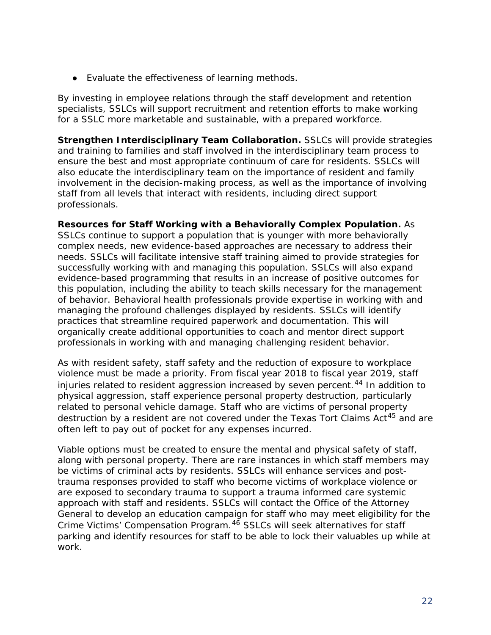● Evaluate the effectiveness of learning methods.

By investing in employee relations through the staff development and retention specialists, SSLCs will support recruitment and retention efforts to make working for a SSLC more marketable and sustainable, with a prepared workforce.

**Strengthen Interdisciplinary Team Collaboration.** SSLCs will provide strategies and training to families and staff involved in the interdisciplinary team process to ensure the best and most appropriate continuum of care for residents. SSLCs will also educate the interdisciplinary team on the importance of resident and family involvement in the decision-making process, as well as the importance of involving staff from all levels that interact with residents, including direct support professionals.

**Resources for Staff Working with a Behaviorally Complex Population.** As SSLCs continue to support a population that is younger with more behaviorally complex needs, new evidence-based approaches are necessary to address their needs. SSLCs will facilitate intensive staff training aimed to provide strategies for successfully working with and managing this population. SSLCs will also expand evidence-based programming that results in an increase of positive outcomes for this population, including the ability to teach skills necessary for the management of behavior. Behavioral health professionals provide expertise in working with and managing the profound challenges displayed by residents. SSLCs will identify practices that streamline required paperwork and documentation. This will organically create additional opportunities to coach and mentor direct support professionals in working with and managing challenging resident behavior.

As with resident safety, staff safety and the reduction of exposure to workplace violence must be made a priority. From fiscal year 2018 to fiscal year 2019, staff injuries related to resident aggression increased by seven percent.<sup>[44](#page-56-1)</sup> In addition to physical aggression, staff experience personal property destruction, particularly related to personal vehicle damage. Staff who are victims of personal property destruction by a resident are not covered under the Texas Tort Claims Act<sup>[45](#page-56-2)</sup> and are often left to pay out of pocket for any expenses incurred.

Viable options must be created to ensure the mental and physical safety of staff, along with personal property. There are rare instances in which staff members may be victims of criminal acts by residents. SSLCs will enhance services and posttrauma responses provided to staff who become victims of workplace violence or are exposed to secondary trauma to support a trauma informed care systemic approach with staff and residents. SSLCs will contact the Office of the Attorney General to develop an education campaign for staff who may meet eligibility for the Crime Victims' Compensation Program.[46](#page-56-3) SSLCs will seek alternatives for staff parking and identify resources for staff to be able to lock their valuables up while at work.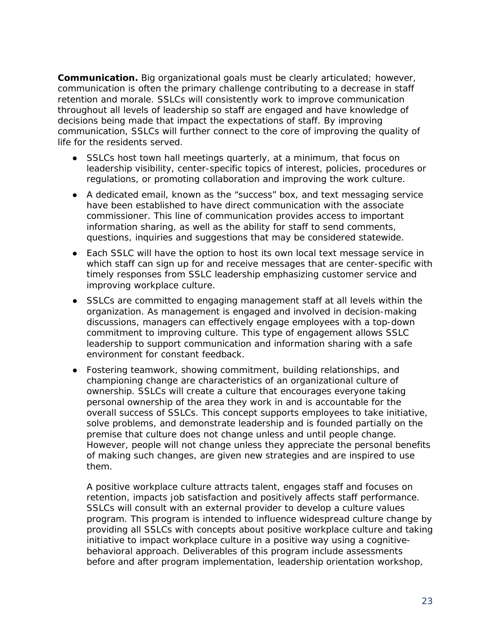**Communication.** Big organizational goals must be clearly articulated; however, communication is often the primary challenge contributing to a decrease in staff retention and morale. SSLCs will consistently work to improve communication throughout all levels of leadership so staff are engaged and have knowledge of decisions being made that impact the expectations of staff. By improving communication, SSLCs will further connect to the core of improving the quality of life for the residents served.

- SSLCs host town hall meetings quarterly, at a minimum, that focus on leadership visibility, center-specific topics of interest, policies, procedures or regulations, or promoting collaboration and improving the work culture.
- A dedicated email, known as the "success" box, and text messaging service have been established to have direct communication with the associate commissioner. This line of communication provides access to important information sharing, as well as the ability for staff to send comments, questions, inquiries and suggestions that may be considered statewide.
- Each SSLC will have the option to host its own local text message service in which staff can sign up for and receive messages that are center-specific with timely responses from SSLC leadership emphasizing customer service and improving workplace culture.
- SSLCs are committed to engaging management staff at all levels within the organization. As management is engaged and involved in decision-making discussions, managers can effectively engage employees with a top-down commitment to improving culture. This type of engagement allows SSLC leadership to support communication and information sharing with a safe environment for constant feedback.
- Fostering teamwork, showing commitment, building relationships, and championing change are characteristics of an organizational culture of ownership. SSLCs will create a culture that encourages everyone taking personal ownership of the area they work in and is accountable for the overall success of SSLCs. This concept supports employees to take initiative, solve problems, and demonstrate leadership and is founded partially on the premise that culture does not change unless and until people change. However, people will not change unless they appreciate the personal benefits of making such changes, are given new strategies and are inspired to use them.

A positive workplace culture attracts talent, engages staff and focuses on retention, impacts job satisfaction and positively affects staff performance. SSLCs will consult with an external provider to develop a culture values program. This program is intended to influence widespread culture change by providing all SSLCs with concepts about positive workplace culture and taking initiative to impact workplace culture in a positive way using a cognitivebehavioral approach. Deliverables of this program include assessments before and after program implementation, leadership orientation workshop,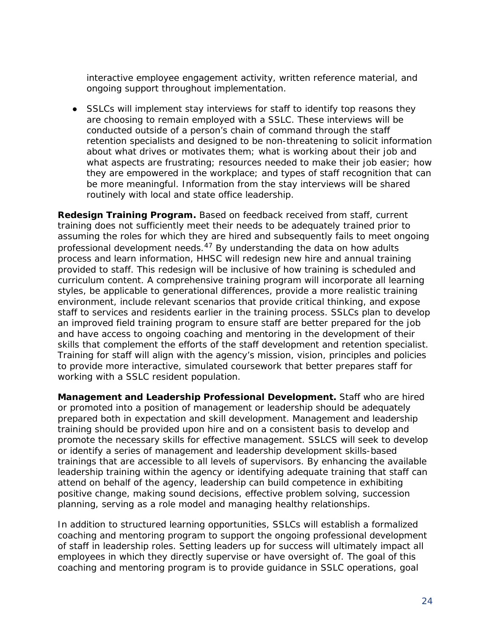interactive employee engagement activity, written reference material, and ongoing support throughout implementation.

• SSLCs will implement stay interviews for staff to identify top reasons they are choosing to remain employed with a SSLC. These interviews will be conducted outside of a person's chain of command through the staff retention specialists and designed to be non-threatening to solicit information about what drives or motivates them; what is working about their job and what aspects are frustrating; resources needed to make their job easier; how they are empowered in the workplace; and types of staff recognition that can be more meaningful. Information from the stay interviews will be shared routinely with local and state office leadership.

**Redesign Training Program.** Based on feedback received from staff, current training does not sufficiently meet their needs to be adequately trained prior to assuming the roles for which they are hired and subsequently fails to meet ongoing professional development needs. $47$  By understanding the data on how adults process and learn information, HHSC will redesign new hire and annual training provided to staff. This redesign will be inclusive of how training is scheduled and curriculum content. A comprehensive training program will incorporate all learning styles, be applicable to generational differences, provide a more realistic training environment, include relevant scenarios that provide critical thinking, and expose staff to services and residents earlier in the training process. SSLCs plan to develop an improved field training program to ensure staff are better prepared for the job and have access to ongoing coaching and mentoring in the development of their skills that complement the efforts of the staff development and retention specialist. Training for staff will align with the agency's mission, vision, principles and policies to provide more interactive, simulated coursework that better prepares staff for working with a SSLC resident population.

**Management and Leadership Professional Development.** Staff who are hired or promoted into a position of management or leadership should be adequately prepared both in expectation and skill development. Management and leadership training should be provided upon hire and on a consistent basis to develop and promote the necessary skills for effective management. SSLCS will seek to develop or identify a series of management and leadership development skills-based trainings that are accessible to all levels of supervisors. By enhancing the available leadership training within the agency or identifying adequate training that staff can attend on behalf of the agency, leadership can build competence in exhibiting positive change, making sound decisions, effective problem solving, succession planning, serving as a role model and managing healthy relationships.

In addition to structured learning opportunities, SSLCs will establish a formalized coaching and mentoring program to support the ongoing professional development of staff in leadership roles. Setting leaders up for success will ultimately impact all employees in which they directly supervise or have oversight of. The goal of this coaching and mentoring program is to provide guidance in SSLC operations, goal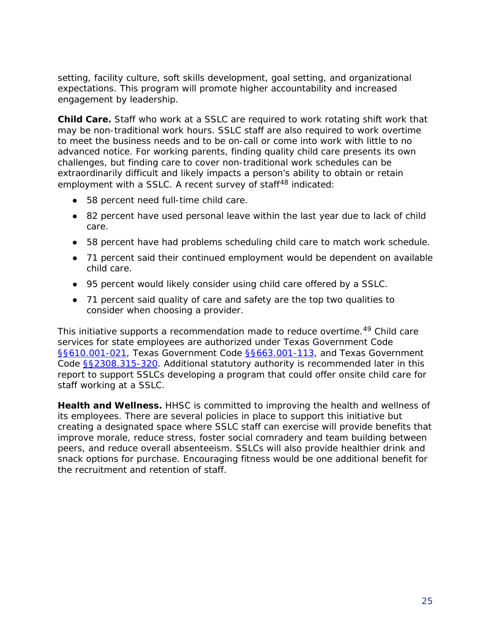setting, facility culture, soft skills development, goal setting, and organizational expectations. This program will promote higher accountability and increased engagement by leadership.

**Child Care.** Staff who work at a SSLC are required to work rotating shift work that may be non-traditional work hours. SSLC staff are also required to work overtime to meet the business needs and to be on-call or come into work with little to no advanced notice. For working parents, finding quality child care presents its own challenges, but finding care to cover non-traditional work schedules can be extraordinarily difficult and likely impacts a person's ability to obtain or retain employment with a SSLC. A recent survey of staff<sup>[48](#page-56-5)</sup> indicated:

- 58 percent need full-time child care.
- 82 percent have used personal leave within the last year due to lack of child care.
- 58 percent have had problems scheduling child care to match work schedule.
- 71 percent said their continued employment would be dependent on available child care.
- 95 percent would likely consider using child care offered by a SSLC.
- 71 percent said quality of care and safety are the top two qualities to consider when choosing a provider.

This initiative supports a recommendation made to reduce overtime.<sup>[49](#page-56-6)</sup> Child care services for state employees are authorized under Texas Government Code [§§610.001-021,](https://statutes.capitol.texas.gov/Docs/GV/htm/GV.610.htm) Texas Government Code [§§663.001-113,](https://statutes.capitol.texas.gov/Docs/GV/htm/GV.663.htm) and Texas Government Code [§§2308.315-320.](https://statutes.capitol.texas.gov/Docs/GV/htm/GV.2308.htm) Additional statutory authority is recommended later in this report to support SSLCs developing a program that could offer onsite child care for staff working at a SSLC.

**Health and Wellness.** HHSC is committed to improving the health and wellness of its employees. There are several policies in place to support this initiative but creating a designated space where SSLC staff can exercise will provide benefits that improve morale, reduce stress, foster social comradery and team building between peers, and reduce overall absenteeism. SSLCs will also provide healthier drink and snack options for purchase. Encouraging fitness would be one additional benefit for the recruitment and retention of staff.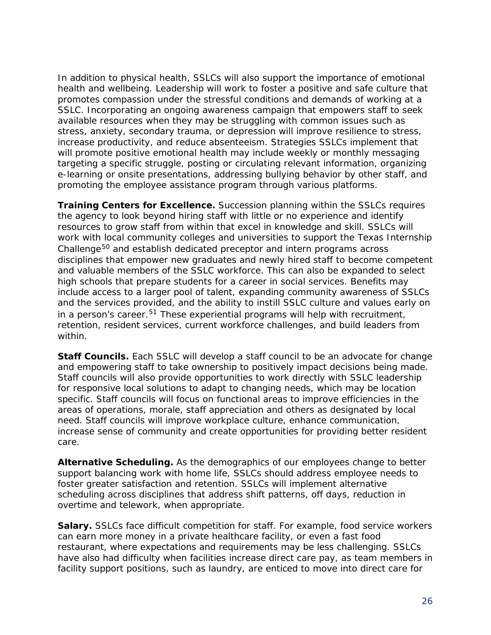In addition to physical health, SSLCs will also support the importance of emotional health and wellbeing. Leadership will work to foster a positive and safe culture that promotes compassion under the stressful conditions and demands of working at a SSLC. Incorporating an ongoing awareness campaign that empowers staff to seek available resources when they may be struggling with common issues such as stress, anxiety, secondary trauma, or depression will improve resilience to stress, increase productivity, and reduce absenteeism. Strategies SSLCs implement that will promote positive emotional health may include weekly or monthly messaging targeting a specific struggle, posting or circulating relevant information, organizing e-learning or onsite presentations, addressing bullying behavior by other staff, and promoting the employee assistance program through various platforms.

**Training Centers for Excellence.** Succession planning within the SSLCs requires the agency to look beyond hiring staff with little or no experience and identify resources to grow staff from within that excel in knowledge and skill. SSLCs will work with local community colleges and universities to support the Texas Internship Challenge<sup>[50](#page-56-7)</sup> and establish dedicated preceptor and intern programs across disciplines that empower new graduates and newly hired staff to become competent and valuable members of the SSLC workforce. This can also be expanded to select high schools that prepare students for a career in social services. Benefits may include access to a larger pool of talent, expanding community awareness of SSLCs and the services provided, and the ability to instill SSLC culture and values early on in a person's career.<sup>[51](#page-56-8)</sup> These experiential programs will help with recruitment, retention, resident services, current workforce challenges, and build leaders from within.

**Staff Councils.** Each SSLC will develop a staff council to be an advocate for change and empowering staff to take ownership to positively impact decisions being made. Staff councils will also provide opportunities to work directly with SSLC leadership for responsive local solutions to adapt to changing needs, which may be location specific. Staff councils will focus on functional areas to improve efficiencies in the areas of operations, morale, staff appreciation and others as designated by local need. Staff councils will improve workplace culture, enhance communication, increase sense of community and create opportunities for providing better resident care.

**Alternative Scheduling.** As the demographics of our employees change to better support balancing work with home life, SSLCs should address employee needs to foster greater satisfaction and retention. SSLCs will implement alternative scheduling across disciplines that address shift patterns, off days, reduction in overtime and telework, when appropriate.

**Salary.** SSLCs face difficult competition for staff. For example, food service workers can earn more money in a private healthcare facility, or even a fast food restaurant, where expectations and requirements may be less challenging. SSLCs have also had difficulty when facilities increase direct care pay, as team members in facility support positions, such as laundry, are enticed to move into direct care for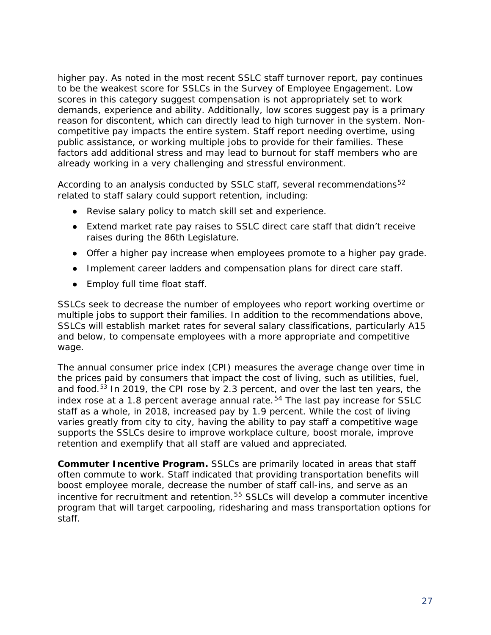higher pay. As noted in the most recent SSLC staff turnover report, pay continues to be the weakest score for SSLCs in the Survey of Employee Engagement. Low scores in this category suggest compensation is not appropriately set to work demands, experience and ability. Additionally, low scores suggest pay is a primary reason for discontent, which can directly lead to high turnover in the system. Noncompetitive pay impacts the entire system. Staff report needing overtime, using public assistance, or working multiple jobs to provide for their families. These factors add additional stress and may lead to burnout for staff members who are already working in a very challenging and stressful environment.

According to an analysis conducted by SSLC staff, several recommendations<sup>[52](#page-56-9)</sup> related to staff salary could support retention, including:

- Revise salary policy to match skill set and experience.
- Extend market rate pay raises to SSLC direct care staff that didn't receive raises during the 86th Legislature.
- Offer a higher pay increase when employees promote to a higher pay grade.
- Implement career ladders and compensation plans for direct care staff.
- Employ full time float staff.

SSLCs seek to decrease the number of employees who report working overtime or multiple jobs to support their families. In addition to the recommendations above, SSLCs will establish market rates for several salary classifications, particularly A15 and below, to compensate employees with a more appropriate and competitive wage.

The annual consumer price index (CPI) measures the average change over time in the prices paid by consumers that impact the cost of living, such as utilities, fuel, and food.[53](#page-56-10) In 2019, the CPI rose by 2.3 percent, and over the last ten years, the index rose at a 1.8 percent average annual rate.<sup>[54](#page-56-11)</sup> The last pay increase for SSLC staff as a whole, in 2018, increased pay by 1.9 percent. While the cost of living varies greatly from city to city, having the ability to pay staff a competitive wage supports the SSLCs desire to improve workplace culture, boost morale, improve retention and exemplify that all staff are valued and appreciated.

**Commuter Incentive Program.** SSLCs are primarily located in areas that staff often commute to work. Staff indicated that providing transportation benefits will boost employee morale, decrease the number of staff call-ins, and serve as an incentive for recruitment and retention.<sup>[55](#page-56-12)</sup> SSLCs will develop a commuter incentive program that will target carpooling, ridesharing and mass transportation options for staff.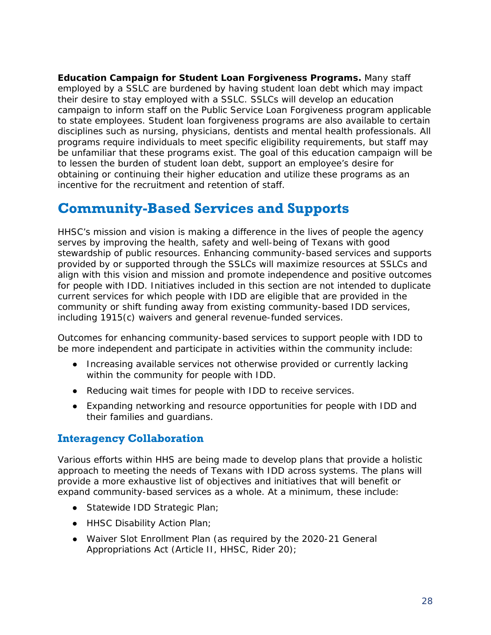**Education Campaign for Student Loan Forgiveness Programs.** Many staff employed by a SSLC are burdened by having student loan debt which may impact their desire to stay employed with a SSLC. SSLCs will develop an education campaign to inform staff on the Public Service Loan Forgiveness program applicable to state employees. Student loan forgiveness programs are also available to certain disciplines such as nursing, physicians, dentists and mental health professionals. All programs require individuals to meet specific eligibility requirements, but staff may be unfamiliar that these programs exist. The goal of this education campaign will be to lessen the burden of student loan debt, support an employee's desire for obtaining or continuing their higher education and utilize these programs as an incentive for the recruitment and retention of staff.

### <span id="page-29-0"></span>**Community-Based Services and Supports**

HHSC's mission and vision is making a difference in the lives of people the agency serves by improving the health, safety and well-being of Texans with good stewardship of public resources. Enhancing community-based services and supports provided by or supported through the SSLCs will maximize resources at SSLCs and align with this vision and mission and promote independence and positive outcomes for people with IDD. Initiatives included in this section are not intended to duplicate current services for which people with IDD are eligible that are provided in the community or shift funding away from existing community-based IDD services, including 1915(c) waivers and general revenue-funded services.

Outcomes for enhancing community-based services to support people with IDD to be more independent and participate in activities within the community include:

- Increasing available services not otherwise provided or currently lacking within the community for people with IDD.
- Reducing wait times for people with IDD to receive services.
- Expanding networking and resource opportunities for people with IDD and their families and guardians.

#### **Interagency Collaboration**

Various efforts within HHS are being made to develop plans that provide a holistic approach to meeting the needs of Texans with IDD across systems. The plans will provide a more exhaustive list of objectives and initiatives that will benefit or expand community-based services as a whole. At a minimum, these include:

- Statewide IDD Strategic Plan;
- HHSC Disability Action Plan;
- Waiver Slot Enrollment Plan (as required by the 2020-21 General Appropriations Act (Article II, HHSC, Rider 20);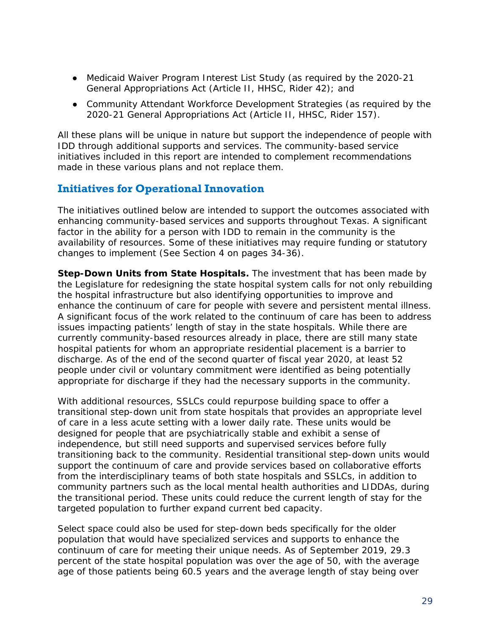- Medicaid Waiver Program Interest List Study (as required by the 2020-21 General Appropriations Act (Article II, HHSC, Rider 42); and
- Community Attendant Workforce Development Strategies (as required by the 2020-21 General Appropriations Act (Article II, HHSC, Rider 157).

All these plans will be unique in nature but support the independence of people with IDD through additional supports and services. The community-based service initiatives included in this report are intended to complement recommendations made in these various plans and not replace them.

#### **Initiatives for Operational Innovation**

The initiatives outlined below are intended to support the outcomes associated with enhancing community-based services and supports throughout Texas. A significant factor in the ability for a person with IDD to remain in the community is the availability of resources. Some of these initiatives may require funding or statutory changes to implement (See Section 4 on pages 34-36).

**Step-Down Units from State Hospitals.** The investment that has been made by the Legislature for redesigning the state hospital system calls for not only rebuilding the hospital infrastructure but also identifying opportunities to improve and enhance the continuum of care for people with severe and persistent mental illness. A significant focus of the work related to the continuum of care has been to address issues impacting patients' length of stay in the state hospitals. While there are currently community-based resources already in place, there are still many state hospital patients for whom an appropriate residential placement is a barrier to discharge. As of the end of the second quarter of fiscal year 2020, at least 52 people under civil or voluntary commitment were identified as being potentially appropriate for discharge if they had the necessary supports in the community.

With additional resources, SSLCs could repurpose building space to offer a transitional step-down unit from state hospitals that provides an appropriate level of care in a less acute setting with a lower daily rate. These units would be designed for people that are psychiatrically stable and exhibit a sense of independence, but still need supports and supervised services before fully transitioning back to the community. Residential transitional step-down units would support the continuum of care and provide services based on collaborative efforts from the interdisciplinary teams of both state hospitals and SSLCs, in addition to community partners such as the local mental health authorities and LIDDAs, during the transitional period. These units could reduce the current length of stay for the targeted population to further expand current bed capacity.

Select space could also be used for step-down beds specifically for the older population that would have specialized services and supports to enhance the continuum of care for meeting their unique needs. As of September 2019, 29.3 percent of the state hospital population was over the age of 50, with the average age of those patients being 60.5 years and the average length of stay being over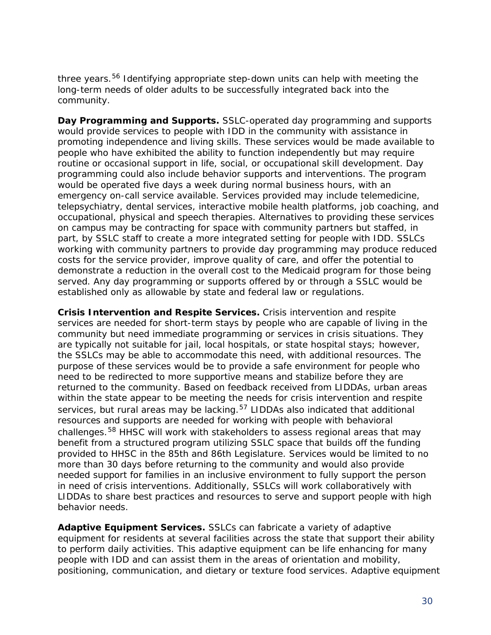three years.<sup>[56](#page-56-13)</sup> Identifying appropriate step-down units can help with meeting the long-term needs of older adults to be successfully integrated back into the community.

**Day Programming and Supports.** SSLC-operated day programming and supports would provide services to people with IDD in the community with assistance in promoting independence and living skills. These services would be made available to people who have exhibited the ability to function independently but may require routine or occasional support in life, social, or occupational skill development. Day programming could also include behavior supports and interventions. The program would be operated five days a week during normal business hours, with an emergency on-call service available. Services provided may include telemedicine, telepsychiatry, dental services, interactive mobile health platforms, job coaching, and occupational, physical and speech therapies. Alternatives to providing these services on campus may be contracting for space with community partners but staffed, in part, by SSLC staff to create a more integrated setting for people with IDD. SSLCs working with community partners to provide day programming may produce reduced costs for the service provider, improve quality of care, and offer the potential to demonstrate a reduction in the overall cost to the Medicaid program for those being served. Any day programming or supports offered by or through a SSLC would be established only as allowable by state and federal law or regulations.

**Crisis Intervention and Respite Services.** Crisis intervention and respite services are needed for short-term stays by people who are capable of living in the community but need immediate programming or services in crisis situations. They are typically not suitable for jail, local hospitals, or state hospital stays; however, the SSLCs may be able to accommodate this need, with additional resources. The purpose of these services would be to provide a safe environment for people who need to be redirected to more supportive means and stabilize before they are returned to the community. Based on feedback received from LIDDAs, urban areas within the state appear to be meeting the needs for crisis intervention and respite services, but rural areas may be lacking.<sup>[57](#page-56-14)</sup> LIDDAs also indicated that additional resources and supports are needed for working with people with behavioral challenges.<sup>[58](#page-56-15)</sup> HHSC will work with stakeholders to assess regional areas that may benefit from a structured program utilizing SSLC space that builds off the funding provided to HHSC in the 85th and 86th Legislature. Services would be limited to no more than 30 days before returning to the community and would also provide needed support for families in an inclusive environment to fully support the person in need of crisis interventions. Additionally, SSLCs will work collaboratively with LIDDAs to share best practices and resources to serve and support people with high behavior needs.

**Adaptive Equipment Services.** SSLCs can fabricate a variety of adaptive equipment for residents at several facilities across the state that support their ability to perform daily activities. This adaptive equipment can be life enhancing for many people with IDD and can assist them in the areas of orientation and mobility, positioning, communication, and dietary or texture food services. Adaptive equipment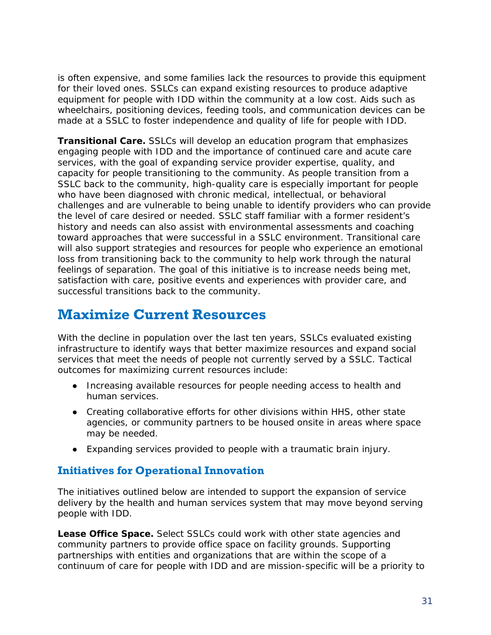is often expensive, and some families lack the resources to provide this equipment for their loved ones. SSLCs can expand existing resources to produce adaptive equipment for people with IDD within the community at a low cost. Aids such as wheelchairs, positioning devices, feeding tools, and communication devices can be made at a SSLC to foster independence and quality of life for people with IDD.

**Transitional Care.** SSLCs will develop an education program that emphasizes engaging people with IDD and the importance of continued care and acute care services, with the goal of expanding service provider expertise, quality, and capacity for people transitioning to the community. As people transition from a SSLC back to the community, high-quality care is especially important for people who have been diagnosed with chronic medical, intellectual, or behavioral challenges and are vulnerable to being unable to identify providers who can provide the level of care desired or needed. SSLC staff familiar with a former resident's history and needs can also assist with environmental assessments and coaching toward approaches that were successful in a SSLC environment. Transitional care will also support strategies and resources for people who experience an emotional loss from transitioning back to the community to help work through the natural feelings of separation. The goal of this initiative is to increase needs being met, satisfaction with care, positive events and experiences with provider care, and successful transitions back to the community.

### <span id="page-32-0"></span>**Maximize Current Resources**

With the decline in population over the last ten years, SSLCs evaluated existing infrastructure to identify ways that better maximize resources and expand social services that meet the needs of people not currently served by a SSLC. Tactical outcomes for maximizing current resources include:

- Increasing available resources for people needing access to health and human services.
- Creating collaborative efforts for other divisions within HHS, other state agencies, or community partners to be housed onsite in areas where space may be needed.
- Expanding services provided to people with a traumatic brain injury.

#### **Initiatives for Operational Innovation**

The initiatives outlined below are intended to support the expansion of service delivery by the health and human services system that may move beyond serving people with IDD.

**Lease Office Space.** Select SSLCs could work with other state agencies and community partners to provide office space on facility grounds. Supporting partnerships with entities and organizations that are within the scope of a continuum of care for people with IDD and are mission-specific will be a priority to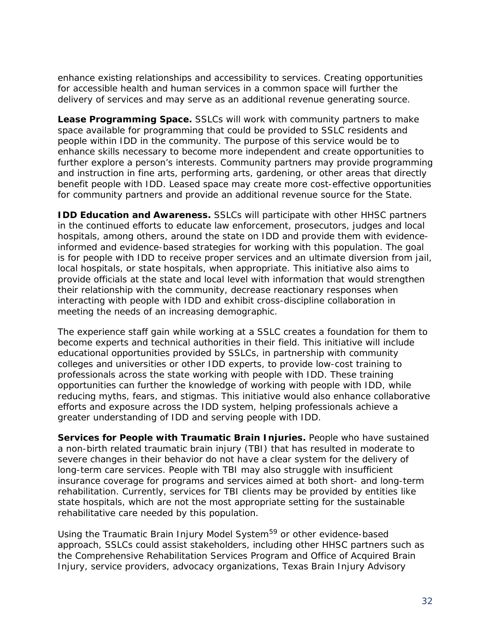enhance existing relationships and accessibility to services. Creating opportunities for accessible health and human services in a common space will further the delivery of services and may serve as an additional revenue generating source.

**Lease Programming Space.** SSLCs will work with community partners to make space available for programming that could be provided to SSLC residents and people within IDD in the community. The purpose of this service would be to enhance skills necessary to become more independent and create opportunities to further explore a person's interests. Community partners may provide programming and instruction in fine arts, performing arts, gardening, or other areas that directly benefit people with IDD. Leased space may create more cost-effective opportunities for community partners and provide an additional revenue source for the State.

**IDD Education and Awareness.** SSLCs will participate with other HHSC partners in the continued efforts to educate law enforcement, prosecutors, judges and local hospitals, among others, around the state on IDD and provide them with evidenceinformed and evidence-based strategies for working with this population. The goal is for people with IDD to receive proper services and an ultimate diversion from jail, local hospitals, or state hospitals, when appropriate. This initiative also aims to provide officials at the state and local level with information that would strengthen their relationship with the community, decrease reactionary responses when interacting with people with IDD and exhibit cross-discipline collaboration in meeting the needs of an increasing demographic.

The experience staff gain while working at a SSLC creates a foundation for them to become experts and technical authorities in their field. This initiative will include educational opportunities provided by SSLCs, in partnership with community colleges and universities or other IDD experts, to provide low-cost training to professionals across the state working with people with IDD. These training opportunities can further the knowledge of working with people with IDD, while reducing myths, fears, and stigmas. This initiative would also enhance collaborative efforts and exposure across the IDD system, helping professionals achieve a greater understanding of IDD and serving people with IDD.

**Services for People with Traumatic Brain Injuries.** People who have sustained a non-birth related traumatic brain injury (TBI) that has resulted in moderate to severe changes in their behavior do not have a clear system for the delivery of long-term care services. People with TBI may also struggle with insufficient insurance coverage for programs and services aimed at both short- and long-term rehabilitation. Currently, services for TBI clients may be provided by entities like state hospitals, which are not the most appropriate setting for the sustainable rehabilitative care needed by this population.

Using the Traumatic Brain Injury Model System<sup>[59](#page-56-16)</sup> or other evidence-based approach, SSLCs could assist stakeholders, including other HHSC partners such as the Comprehensive Rehabilitation Services Program and Office of Acquired Brain Injury, service providers, advocacy organizations, Texas Brain Injury Advisory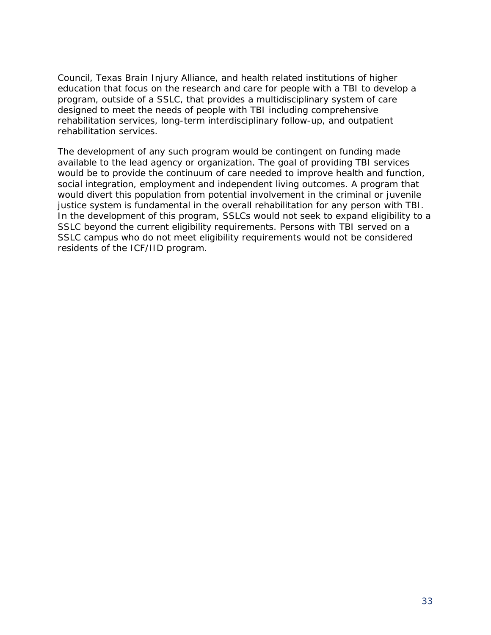Council, Texas Brain Injury Alliance, and health related institutions of higher education that focus on the research and care for people with a TBI to develop a program, outside of a SSLC, that provides a multidisciplinary system of care designed to meet the needs of people with TBI including comprehensive rehabilitation services, long-term interdisciplinary follow-up, and outpatient rehabilitation services.

The development of any such program would be contingent on funding made available to the lead agency or organization. The goal of providing TBI services would be to provide the continuum of care needed to improve health and function, social integration, employment and independent living outcomes. A program that would divert this population from potential involvement in the criminal or juvenile justice system is fundamental in the overall rehabilitation for any person with TBI. In the development of this program, SSLCs would not seek to expand eligibility to a SSLC beyond the current eligibility requirements. Persons with TBI served on a SSLC campus who do not meet eligibility requirements would not be considered residents of the ICF/IID program.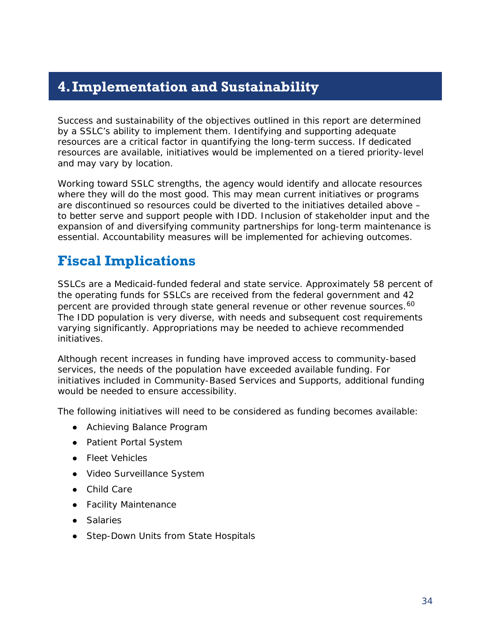# <span id="page-35-0"></span>**4.Implementation and Sustainability**

Success and sustainability of the objectives outlined in this report are determined by a SSLC's ability to implement them. Identifying and supporting adequate resources are a critical factor in quantifying the long-term success. If dedicated resources are available, initiatives would be implemented on a tiered priority-level and may vary by location.

Working toward SSLC strengths, the agency would identify and allocate resources where they will do the most good. This may mean current initiatives or programs are discontinued so resources could be diverted to the initiatives detailed above – to better serve and support people with IDD. Inclusion of stakeholder input and the expansion of and diversifying community partnerships for long-term maintenance is essential. Accountability measures will be implemented for achieving outcomes.

# <span id="page-35-1"></span>**Fiscal Implications**

SSLCs are a Medicaid-funded federal and state service. Approximately 58 percent of the operating funds for SSLCs are received from the federal government and 42 percent are provided through state general revenue or other revenue sources.<sup>[60](#page-56-17)</sup> The IDD population is very diverse, with needs and subsequent cost requirements varying significantly. Appropriations may be needed to achieve recommended initiatives.

Although recent increases in funding have improved access to community-based services, the needs of the population have exceeded available funding. For initiatives included in Community-Based Services and Supports, additional funding would be needed to ensure accessibility.

The following initiatives will need to be considered as funding becomes available:

- Achieving Balance Program
- Patient Portal System
- Fleet Vehicles
- Video Surveillance System
- Child Care
- Facility Maintenance
- Salaries
- Step-Down Units from State Hospitals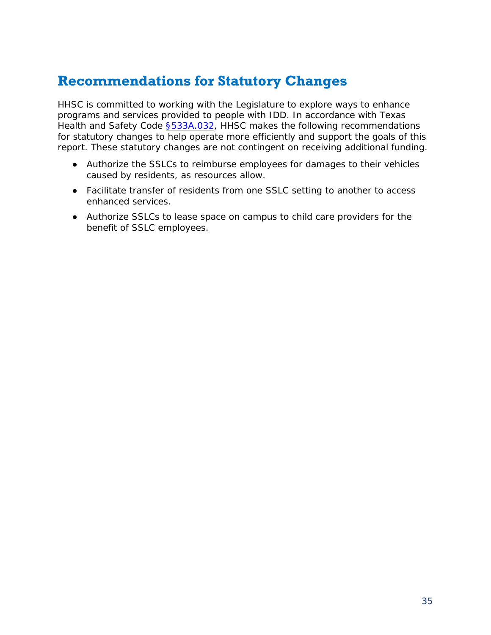### <span id="page-36-0"></span>**Recommendations for Statutory Changes**

HHSC is committed to working with the Legislature to explore ways to enhance programs and services provided to people with IDD. In accordance with Texas Health and Safety Code **§533A.032**, HHSC makes the following recommendations for statutory changes to help operate more efficiently and support the goals of this report. These statutory changes are not contingent on receiving additional funding.

- Authorize the SSLCs to reimburse employees for damages to their vehicles caused by residents, as resources allow.
- Facilitate transfer of residents from one SSLC setting to another to access enhanced services.
- Authorize SSLCs to lease space on campus to child care providers for the benefit of SSLC employees.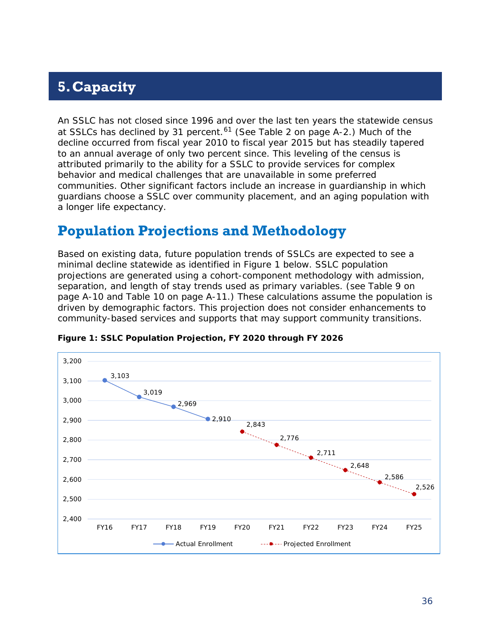# <span id="page-37-0"></span>**5.Capacity**

An SSLC has not closed since 1996 and over the last ten years the statewide census at SSLCs has declined by 31 percent.<sup>[61](#page-56-18)</sup> (See Table 2 on page A-2.) Much of the decline occurred from fiscal year 2010 to fiscal year 2015 but has steadily tapered to an annual average of only two percent since. This leveling of the census is attributed primarily to the ability for a SSLC to provide services for complex behavior and medical challenges that are unavailable in some preferred communities. Other significant factors include an increase in guardianship in which guardians choose a SSLC over community placement, and an aging population with a longer life expectancy.

### <span id="page-37-1"></span>**Population Projections and Methodology**

Based on existing data, future population trends of SSLCs are expected to see a minimal decline statewide as identified in Figure 1 below. SSLC population projections are generated using a cohort-component methodology with admission, separation, and length of stay trends used as primary variables. (see Table 9 on page A-10 and Table 10 on page A-11.) These calculations assume the population is driven by demographic factors. This projection does not consider enhancements to community-based services and supports that may support community transitions.



**Figure 1: SSLC Population Projection, FY 2020 through FY 2026**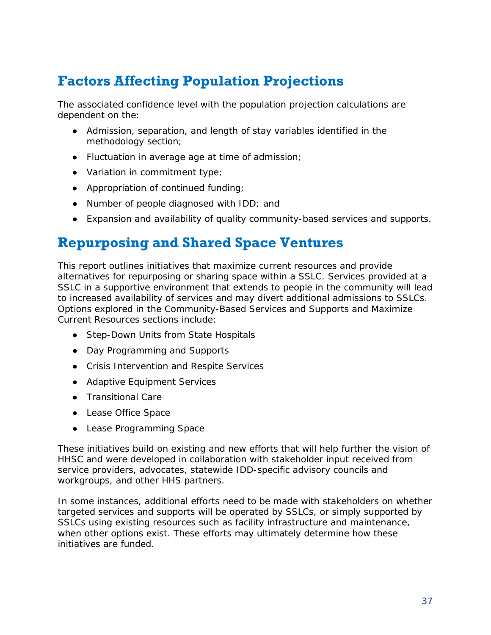# <span id="page-38-0"></span>**Factors Affecting Population Projections**

The associated confidence level with the population projection calculations are dependent on the:

- Admission, separation, and length of stay variables identified in the methodology section;
- Fluctuation in average age at time of admission;
- Variation in commitment type;
- Appropriation of continued funding;
- Number of people diagnosed with IDD; and
- Expansion and availability of quality community-based services and supports.

# <span id="page-38-1"></span>**Repurposing and Shared Space Ventures**

This report outlines initiatives that maximize current resources and provide alternatives for repurposing or sharing space within a SSLC. Services provided at a SSLC in a supportive environment that extends to people in the community will lead to increased availability of services and may divert additional admissions to SSLCs. Options explored in the Community-Based Services and Supports and Maximize Current Resources sections include:

- Step-Down Units from State Hospitals
- Day Programming and Supports
- Crisis Intervention and Respite Services
- Adaptive Equipment Services
- Transitional Care
- Lease Office Space
- Lease Programming Space

These initiatives build on existing and new efforts that will help further the vision of HHSC and were developed in collaboration with stakeholder input received from service providers, advocates, statewide IDD-specific advisory councils and workgroups, and other HHS partners.

In some instances, additional efforts need to be made with stakeholders on whether targeted services and supports will be operated by SSLCs, or simply supported by SSLCs using existing resources such as facility infrastructure and maintenance, when other options exist. These efforts may ultimately determine how these initiatives are funded.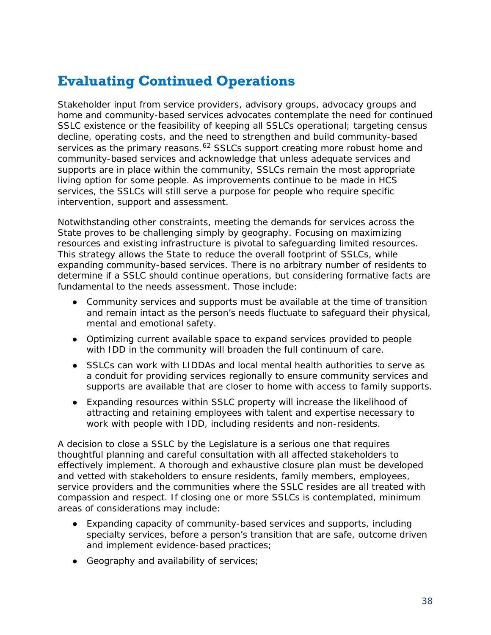# <span id="page-39-0"></span>**Evaluating Continued Operations**

Stakeholder input from service providers, advisory groups, advocacy groups and home and community-based services advocates contemplate the need for continued SSLC existence or the feasibility of keeping all SSLCs operational; targeting census decline, operating costs, and the need to strengthen and build community-based services as the primary reasons.<sup>[62](#page-56-19)</sup> SSLCs support creating more robust home and community-based services and acknowledge that unless adequate services and supports are in place within the community, SSLCs remain the most appropriate living option for some people. As improvements continue to be made in HCS services, the SSLCs will still serve a purpose for people who require specific intervention, support and assessment.

Notwithstanding other constraints, meeting the demands for services across the State proves to be challenging simply by geography. Focusing on maximizing resources and existing infrastructure is pivotal to safeguarding limited resources. This strategy allows the State to reduce the overall footprint of SSLCs, while expanding community-based services. There is no arbitrary number of residents to determine if a SSLC should continue operations, but considering formative facts are fundamental to the needs assessment. Those include:

- Community services and supports must be available at the time of transition and remain intact as the person's needs fluctuate to safeguard their physical, mental and emotional safety.
- Optimizing current available space to expand services provided to people with IDD in the community will broaden the full continuum of care.
- SSLCs can work with LIDDAs and local mental health authorities to serve as a conduit for providing services regionally to ensure community services and supports are available that are closer to home with access to family supports.
- Expanding resources within SSLC property will increase the likelihood of attracting and retaining employees with talent and expertise necessary to work with people with IDD, including residents and non-residents.

A decision to close a SSLC by the Legislature is a serious one that requires thoughtful planning and careful consultation with all affected stakeholders to effectively implement. A thorough and exhaustive closure plan must be developed and vetted with stakeholders to ensure residents, family members, employees, service providers and the communities where the SSLC resides are all treated with compassion and respect. If closing one or more SSLCs is contemplated, minimum areas of considerations may include:

- Expanding capacity of community-based services and supports, including specialty services, before a person's transition that are safe, outcome driven and implement evidence-based practices;
- Geography and availability of services;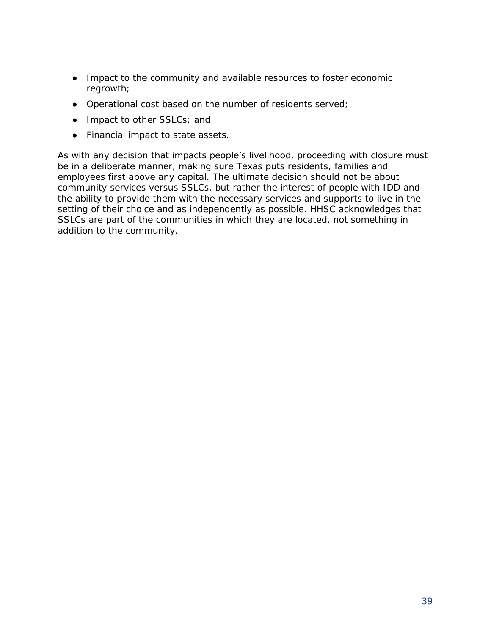- Impact to the community and available resources to foster economic regrowth;
- Operational cost based on the number of residents served;
- Impact to other SSLCs; and
- Financial impact to state assets.

As with any decision that impacts people's livelihood, proceeding with closure must be in a deliberate manner, making sure Texas puts residents, families and employees first above any capital. The ultimate decision should not be about community services versus SSLCs, but rather the interest of people with IDD and the ability to provide them with the necessary services and supports to live in the setting of their choice and as independently as possible. HHSC acknowledges that SSLCs are part of the communities in which they are located, not something in addition to the community.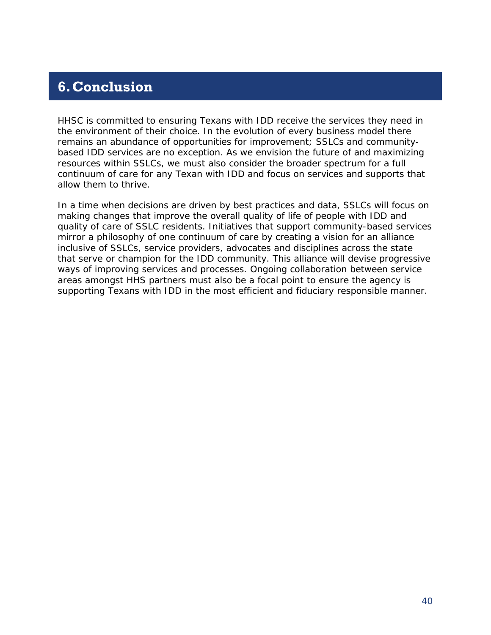# <span id="page-41-0"></span>**6.Conclusion**

HHSC is committed to ensuring Texans with IDD receive the services they need in the environment of their choice. In the evolution of every business model there remains an abundance of opportunities for improvement; SSLCs and communitybased IDD services are no exception. As we envision the future of and maximizing resources within SSLCs, we must also consider the broader spectrum for a full continuum of care for any Texan with IDD and focus on services and supports that allow them to thrive.

In a time when decisions are driven by best practices and data, SSLCs will focus on making changes that improve the overall quality of life of people with IDD and quality of care of SSLC residents. Initiatives that support community-based services mirror a philosophy of one continuum of care by creating a vision for an alliance inclusive of SSLCs, service providers, advocates and disciplines across the state that serve or champion for the IDD community. This alliance will devise progressive ways of improving services and processes. Ongoing collaboration between service areas amongst HHS partners must also be a focal point to ensure the agency is supporting Texans with IDD in the most efficient and fiduciary responsible manner.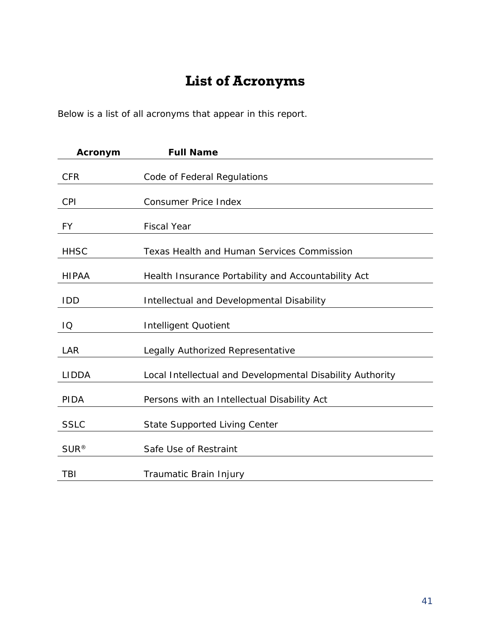# **List of Acronyms**

<span id="page-42-0"></span>Below is a list of all acronyms that appear in this report.

| Acronym      | <b>Full Name</b>                                          |
|--------------|-----------------------------------------------------------|
| <b>CFR</b>   | Code of Federal Regulations                               |
| <b>CPI</b>   | <b>Consumer Price Index</b>                               |
| FY           | <b>Fiscal Year</b>                                        |
| <b>HHSC</b>  | <b>Texas Health and Human Services Commission</b>         |
| <b>HIPAA</b> | Health Insurance Portability and Accountability Act       |
| <b>IDD</b>   | Intellectual and Developmental Disability                 |
| IQ           | <b>Intelligent Quotient</b>                               |
| LAR          | Legally Authorized Representative                         |
| <b>LIDDA</b> | Local Intellectual and Developmental Disability Authority |
| PIDA         | Persons with an Intellectual Disability Act               |
| <b>SSLC</b>  | <b>State Supported Living Center</b>                      |
| $SUR^@$      | Safe Use of Restraint                                     |
| TBI          | Traumatic Brain Injury                                    |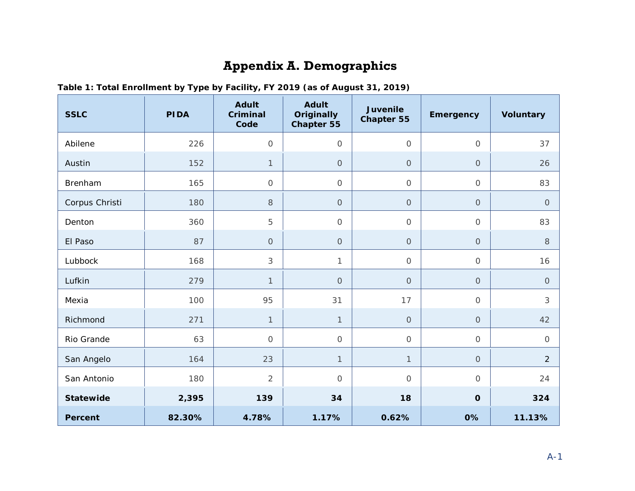# **Appendix A. Demographics**

<span id="page-43-0"></span>

| <b>SSLC</b>      | <b>PIDA</b> | <b>Adult</b><br><b>Criminal</b><br>Code | <b>Adult</b><br><b>Originally</b><br><b>Chapter 55</b> | <b>Juvenile</b><br><b>Chapter 55</b> | <b>Emergency</b> | <b>Voluntary</b> |
|------------------|-------------|-----------------------------------------|--------------------------------------------------------|--------------------------------------|------------------|------------------|
| Abilene          | 226         | $\overline{O}$                          | $\mathcal{O}$                                          | $\mathsf O$                          | $\mathbf 0$      | 37               |
| Austin           | 152         | $\mathbf{1}$                            | $\mathcal{O}$                                          | $\circ$                              | $\overline{O}$   | 26               |
| Brenham          | 165         | $\mathcal O$                            | $\mathsf O$                                            | $\mathcal O$                         | $\mathcal{O}$    | 83               |
| Corpus Christi   | 180         | 8                                       | $\mathbf{O}$                                           | $\mathsf O$                          | $\mathsf O$      | $\overline{O}$   |
| Denton           | 360         | 5                                       | $\mathcal{O}$                                          | $\mathsf O$                          | $\mathbf 0$      | 83               |
| El Paso          | 87          | $\overline{O}$                          | $\mathsf O$                                            | $\mathsf O$                          | $\mathbf{O}$     | 8                |
| Lubbock          | 168         | 3                                       | $\mathbf{1}$                                           | $\mathsf O$                          | $\mathcal O$     | 16               |
| Lufkin           | 279         | $\mathbf{1}$                            | $\mathsf O$                                            | $\mathsf O$                          | $\mathsf O$      | $\circ$          |
| Mexia            | 100         | 95                                      | 31                                                     | 17                                   | $\mathcal O$     | 3                |
| Richmond         | 271         | $\mathbf{1}$                            | $\mathbf{1}$                                           | $\mathsf O$                          | $\mathbf 0$      | 42               |
| Rio Grande       | 63          | $\overline{O}$                          | $\mathcal{O}$                                          | $\mathsf O$                          | $\mathsf O$      | $\mathcal{O}$    |
| San Angelo       | 164         | 23                                      | $\mathbf{1}$                                           | $\mathbf{1}$                         | $\mathsf O$      | $\overline{2}$   |
| San Antonio      | 180         | $\overline{2}$                          | $\mathcal{O}$                                          | $\mathcal{O}$                        | $\overline{O}$   | 24               |
| <b>Statewide</b> | 2,395       | 139                                     | 34                                                     | 18                                   | $\mathbf{o}$     | 324              |
| <b>Percent</b>   | 82.30%      | 4.78%                                   | 1.17%                                                  | 0.62%                                | 0%               | 11.13%           |

**Table 1: Total Enrollment by Type by Facility, FY 2019 (as of August 31, 2019)**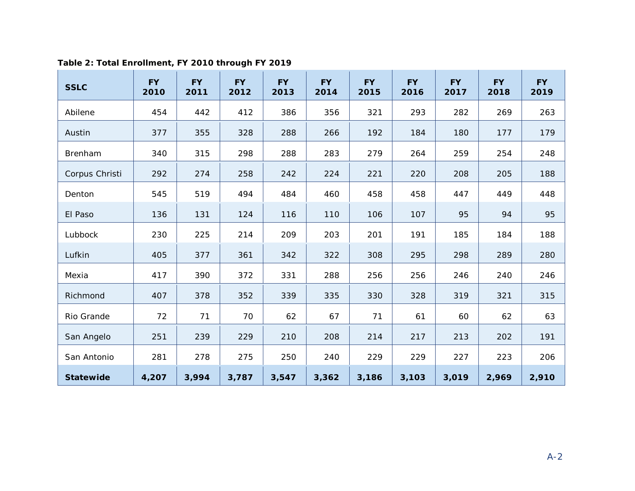| <b>SSLC</b>      | <b>FY</b><br>2010 | <b>FY</b><br>2011 | <b>FY</b><br>2012 | <b>FY</b><br>2013 | <b>FY</b><br>2014 | <b>FY</b><br>2015 | <b>FY</b><br>2016 | <b>FY</b><br>2017 | <b>FY</b><br>2018 | <b>FY</b><br>2019 |
|------------------|-------------------|-------------------|-------------------|-------------------|-------------------|-------------------|-------------------|-------------------|-------------------|-------------------|
| Abilene          | 454               | 442               | 412               | 386               | 356               | 321               | 293               | 282               | 269               | 263               |
| Austin           | 377               | 355               | 328               | 288               | 266               | 192               | 184               | 180               | 177               | 179               |
| Brenham          | 340               | 315               | 298               | 288               | 283               | 279               | 264               | 259               | 254               | 248               |
| Corpus Christi   | 292               | 274               | 258               | 242               | 224               | 221               | 220               | 208               | 205               | 188               |
| Denton           | 545               | 519               | 494               | 484               | 460               | 458               | 458               | 447               | 449               | 448               |
| El Paso          | 136               | 131               | 124               | 116               | 110               | 106               | 107               | 95                | 94                | 95                |
| Lubbock          | 230               | 225               | 214               | 209               | 203               | 201               | 191               | 185               | 184               | 188               |
| Lufkin           | 405               | 377               | 361               | 342               | 322               | 308               | 295               | 298               | 289               | 280               |
| Mexia            | 417               | 390               | 372               | 331               | 288               | 256               | 256               | 246               | 240               | 246               |
| Richmond         | 407               | 378               | 352               | 339               | 335               | 330               | 328               | 319               | 321               | 315               |
| Rio Grande       | 72                | 71                | 70                | 62                | 67                | 71                | 61                | 60                | 62                | 63                |
| San Angelo       | 251               | 239               | 229               | 210               | 208               | 214               | 217               | 213               | 202               | 191               |
| San Antonio      | 281               | 278               | 275               | 250               | 240               | 229               | 229               | 227               | 223               | 206               |
| <b>Statewide</b> | 4,207             | 3,994             | 3,787             | 3,547             | 3,362             | 3,186             | 3,103             | 3,019             | 2,969             | 2,910             |

#### **Table 2: Total Enrollment, FY 2010 through FY 2019**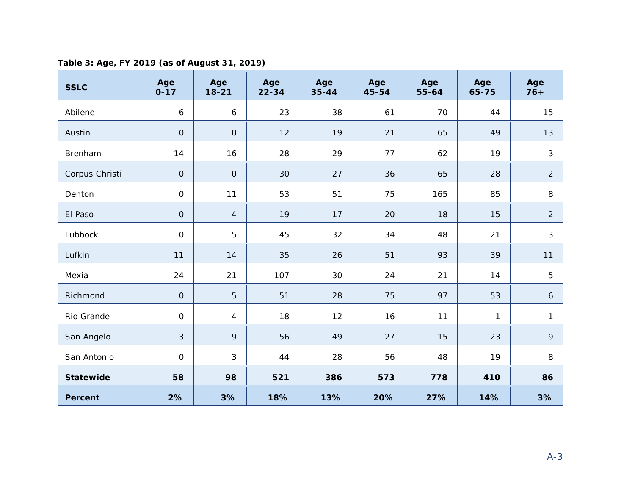**Table 3: Age, FY 2019 (as of August 31, 2019)**

| <b>SSLC</b>      | Age<br>$0 - 17$     | Age<br>$18 - 21$ | Age<br>$22 - 34$ | Age<br>$35 - 44$ | Age<br>45-54 | Age<br>55-64 | Age<br>65-75 | Age<br>$76+$ |
|------------------|---------------------|------------------|------------------|------------------|--------------|--------------|--------------|--------------|
| Abilene          | $\boldsymbol{6}$    | 6                | 23               | 38               | 61           | 70           | 44           | 15           |
| Austin           | $\mathbf 0$         | $\mathsf O$      | 12               | 19               | 21           | 65           | 49           | 13           |
| Brenham          | 14                  | 16               | 28               | 29               | 77           | 62           | 19           | $\mathbf{3}$ |
| Corpus Christi   | $\mathbf 0$         | $\mathsf O$      | 30               | 27               | 36           | 65           | 28           | 2            |
| Denton           | $\mathsf O$         | 11               | 53               | 51               | 75           | 165          | 85           | 8            |
| El Paso          | $\mathbf 0$         | $\overline{4}$   | 19               | 17               | 20           | 18           | 15           | 2            |
| Lubbock          | $\overline{O}$      | 5                | 45               | 32               | 34           | 48           | 21           | 3            |
| Lufkin           | 11                  | 14               | 35               | 26               | 51           | 93           | 39           | 11           |
| Mexia            | 24                  | 21               | 107              | 30               | 24           | 21           | 14           | 5            |
| Richmond         | $\mathbf{O}$        | 5                | 51               | 28               | 75           | 97           | 53           | 6            |
| Rio Grande       | $\mathsf O$         | $\overline{4}$   | 18               | 12               | 16           | 11           | $\mathbf{1}$ | $\mathbf{1}$ |
| San Angelo       | $\sqrt{3}$          | 9                | 56               | 49               | 27           | 15           | 23           | 9            |
| San Antonio      | $\mathsf{O}\xspace$ | 3                | 44               | 28               | 56           | 48           | 19           | 8            |
| <b>Statewide</b> | 58                  | 98               | 521              | 386              | 573          | 778          | 410          | 86           |
| <b>Percent</b>   | 2%                  | 3%               | 18%              | 13%              | 20%          | 27%          | 14%          | 3%           |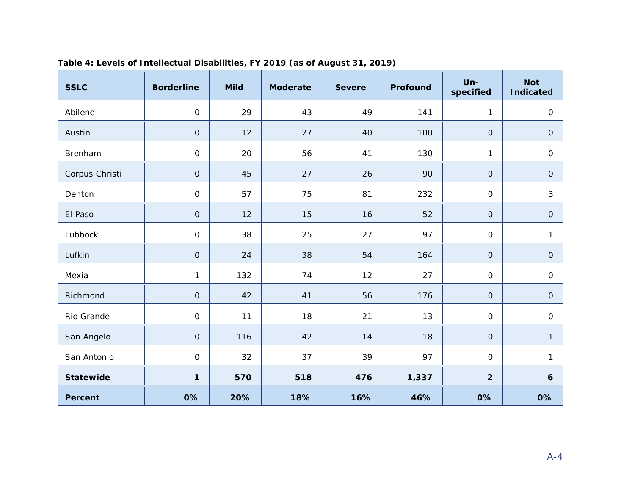| <b>SSLC</b>      | <b>Borderline</b> | <b>Mild</b> | <b>Moderate</b> | <b>Severe</b> | Profound | $Un -$<br>specified | <b>Not</b><br><b>Indicated</b> |
|------------------|-------------------|-------------|-----------------|---------------|----------|---------------------|--------------------------------|
| Abilene          | $\mathbf 0$       | 29          | 43              | 49            | 141      | $\mathbf{1}$        | $\mathsf O$                    |
| Austin           | $\mathsf O$       | 12          | 27              | 40            | 100      | $\mbox{O}$          | ${\mathsf O}$                  |
| Brenham          | $\overline{0}$    | 20          | 56              | 41            | 130      | $\mathbf{1}$        | $\mathsf O$                    |
| Corpus Christi   | $\mathsf O$       | 45          | 27              | 26            | 90       | $\mathbf O$         | $\mbox{O}$                     |
| Denton           | $\mbox{O}$        | 57          | 75              | 81            | 232      | $\mathsf O$         | $\mathfrak{S}$                 |
| El Paso          | $\mathbf 0$       | 12          | 15              | 16            | 52       | $\mathbf O$         | $\mathsf O$                    |
| Lubbock          | $\overline{O}$    | 38          | 25              | 27            | 97       | $\mathbf 0$         | 1                              |
| Lufkin           | $\mathsf O$       | 24          | 38              | 54            | 164      | $\mathbf 0$         | $\mathsf O$                    |
| Mexia            | $\mathbf{1}$      | 132         | 74              | 12            | 27       | $\mbox{O}$          | $\mathsf O$                    |
| Richmond         | $\mathbf 0$       | 42          | 41              | 56            | 176      | $\mathbf{O}$        | $\mathbf{O}$                   |
| Rio Grande       | $\mathbf 0$       | 11          | 18              | 21            | 13       | $\mathbf 0$         | $\mathsf O$                    |
| San Angelo       | $\mathsf O$       | 116         | 42              | 14            | 18       | $\mathbf 0$         | $\mathbf{1}$                   |
| San Antonio      | $\mathbf 0$       | 32          | 37              | 39            | 97       | $\mathsf O$         | $\mathbf{1}$                   |
| <b>Statewide</b> | 1                 | 570         | 518             | 476           | 1,337    | $\overline{2}$      | $\boldsymbol{6}$               |
| <b>Percent</b>   | 0%                | 20%         | 18%             | 16%           | 46%      | 0%                  | 0%                             |

#### **Table 4: Levels of Intellectual Disabilities, FY 2019 (as of August 31, 2019)**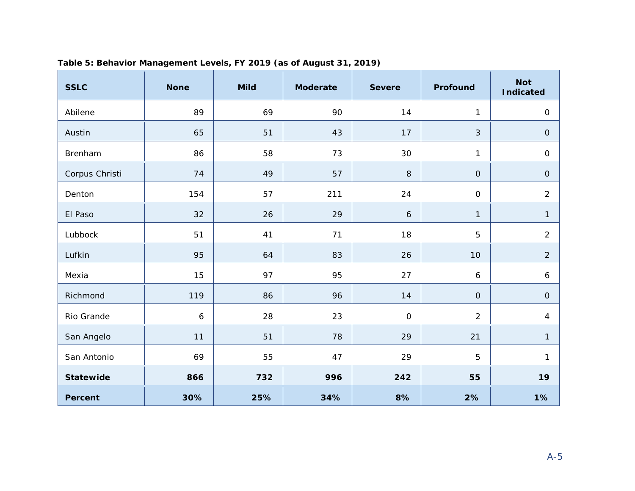| <b>SSLC</b>      | <b>None</b>      | <b>Mild</b> | <b>Moderate</b> | <b>Severe</b>    | Profound         | <b>Not</b><br><b>Indicated</b> |
|------------------|------------------|-------------|-----------------|------------------|------------------|--------------------------------|
| Abilene          | 89               | 69          | 90              | 14               | $\mathbf{1}$     | $\mathsf O$                    |
| Austin           | 65               | 51          | 43              | 17               | 3                | ${\mathsf O}$                  |
| Brenham          | 86               | 58          | 73              | 30               | $\mathbf{1}$     | $\mathsf O$                    |
| Corpus Christi   | 74               | 49          | 57              | $\,8\,$          | $\mathsf O$      | $\mathsf O$                    |
| Denton           | 154              | 57          | 211             | 24               | $\mbox{O}$       | $\overline{c}$                 |
| El Paso          | 32               | 26          | 29              | $\boldsymbol{6}$ | $\mathbf{1}$     | $\mathbf{1}$                   |
| Lubbock          | 51               | 41          | 71              | 18               | $\overline{5}$   | $\overline{2}$                 |
| Lufkin           | 95               | 64          | 83              | 26               | 10               | $\overline{2}$                 |
| Mexia            | 15               | 97          | 95              | 27               | $\boldsymbol{6}$ | 6                              |
| Richmond         | 119              | 86          | 96              | 14               | $\mathbf{O}$     | $\mathbf 0$                    |
| Rio Grande       | $\boldsymbol{6}$ | 28          | 23              | $\mathsf O$      | $\overline{2}$   | $\overline{4}$                 |
| San Angelo       | 11               | 51          | 78              | 29               | 21               | $\mathbf{1}$                   |
| San Antonio      | 69               | 55          | 47              | 29               | 5                | $\mathbf{1}$                   |
| <b>Statewide</b> | 866              | 732         | 996             | 242              | 55               | 19                             |
| <b>Percent</b>   | 30%              | 25%         | 34%             | 8%               | 2%               | 1%                             |

#### **Table 5: Behavior Management Levels, FY 2019 (as of August 31, 2019)**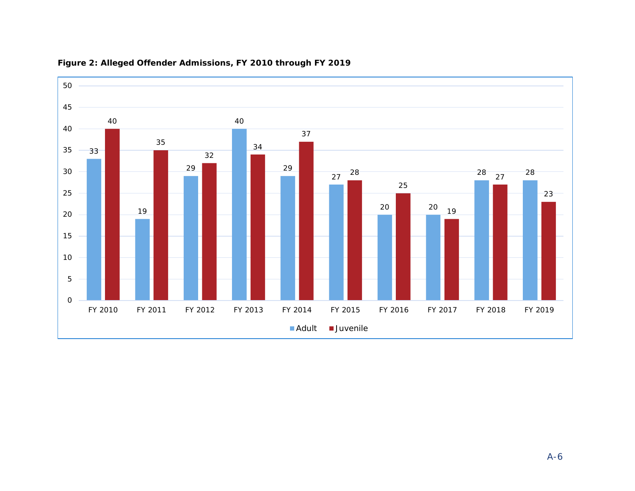

#### **Figure 2: Alleged Offender Admissions, FY 2010 through FY 2019**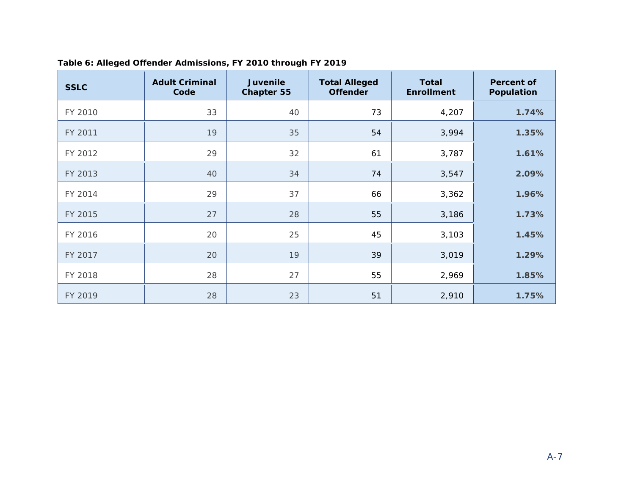| <b>SSLC</b> | <b>Adult Criminal</b><br>Code | <b>Juvenile</b><br><b>Chapter 55</b> | <b>Total Alleged</b><br><b>Offender</b> | <b>Total</b><br><b>Enrollment</b> | <b>Percent of</b><br>Population |
|-------------|-------------------------------|--------------------------------------|-----------------------------------------|-----------------------------------|---------------------------------|
| FY 2010     | 33                            | 40                                   | 73                                      | 4,207                             | 1.74%                           |
| FY 2011     | 19                            | 35                                   | 54                                      | 3,994                             | 1.35%                           |
| FY 2012     | 29                            | 32                                   | 61                                      | 3,787                             | 1.61%                           |
| FY 2013     | 40                            | 34                                   | 74                                      | 3,547                             | 2.09%                           |
| FY 2014     | 29                            | 37                                   | 66                                      | 3,362                             | 1.96%                           |
| FY 2015     | 27                            | 28                                   | 55                                      | 3,186                             | 1.73%                           |
| FY 2016     | 20                            | 25                                   | 45                                      | 3,103                             | 1.45%                           |
| FY 2017     | 20                            | 19                                   | 39                                      | 3,019                             | 1.29%                           |
| FY 2018     | 28                            | 27                                   | 55                                      | 2,969                             | 1.85%                           |
| FY 2019     | 28                            | 23                                   | 51                                      | 2,910                             | 1.75%                           |

#### **Table 6: Alleged Offender Admissions, FY 2010 through FY 2019**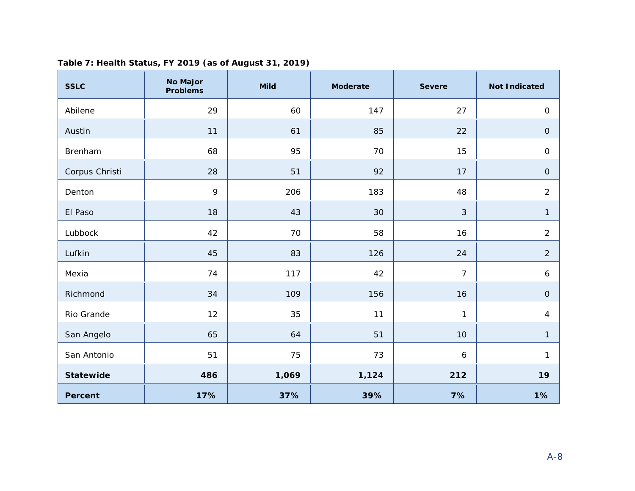| <b>SSLC</b>      | <b>No Major</b><br><b>Problems</b> | <b>Mild</b> | <b>Moderate</b> | <b>Severe</b>    | <b>Not Indicated</b> |
|------------------|------------------------------------|-------------|-----------------|------------------|----------------------|
| Abilene          | 29                                 | 60          | 147             | 27               | $\mathsf O$          |
| Austin           | 11                                 | 61          | 85              | 22               | $\mathsf O$          |
| Brenham          | 68                                 | 95          | 70              | 15               | $\mathsf O$          |
| Corpus Christi   | 28                                 | 51          | 92              | 17               | $\mathbf{O}$         |
| Denton           | 9                                  | 206         | 183             | 48               | $\overline{2}$       |
| El Paso          | 18                                 | 43          | 30              | 3                | $\mathbf{1}$         |
| Lubbock          | 42                                 | 70          | 58              | 16               | $\overline{2}$       |
| Lufkin           | 45                                 | 83          | 126             | 24               | $\overline{2}$       |
| Mexia            | 74                                 | 117         | 42              | $\overline{7}$   | 6                    |
| Richmond         | 34                                 | 109         | 156             | 16               | $\mathsf O$          |
| Rio Grande       | 12                                 | 35          | 11              | $\mathbf{1}$     | 4                    |
| San Angelo       | 65                                 | 64          | 51              | 10               | 1                    |
| San Antonio      | 51                                 | 75          | 73              | $\boldsymbol{6}$ | 1                    |
| <b>Statewide</b> | 486                                | 1,069       | 1,124           | 212              | 19                   |
| <b>Percent</b>   | 17%                                | 37%         | 39%             | 7%               | 1%                   |

#### **Table 7: Health Status, FY 2019 (as of August 31, 2019)**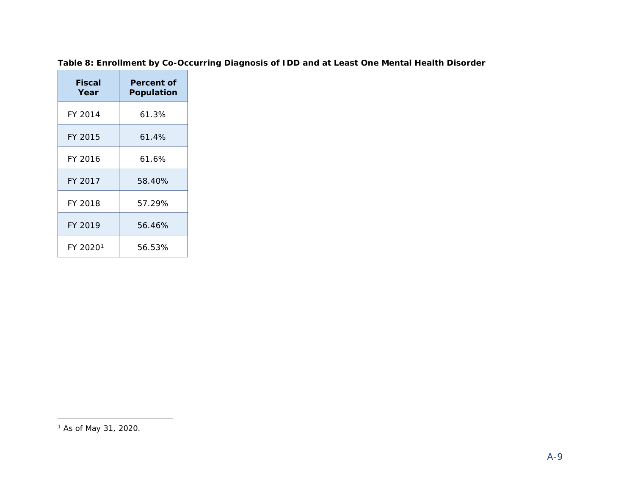#### <span id="page-51-0"></span>**Table 8: Enrollment by Co-Occurring Diagnosis of IDD and at Least One Mental Health Disorder**

| <b>Fiscal</b><br>Year | Percent of<br><b>Population</b> |
|-----------------------|---------------------------------|
| FY 2014               | 61.3%                           |
| FY 2015               | 61.4%                           |
| FY 2016               | 61.6%                           |
| FY 2017               | 58.40%                          |
| FY 2018               | 57.29%                          |
| FY 2019               | 56.46%                          |
| FY 2020 <sup>1</sup>  | 56.53%                          |

1

<sup>1</sup> As of May 31, 2020.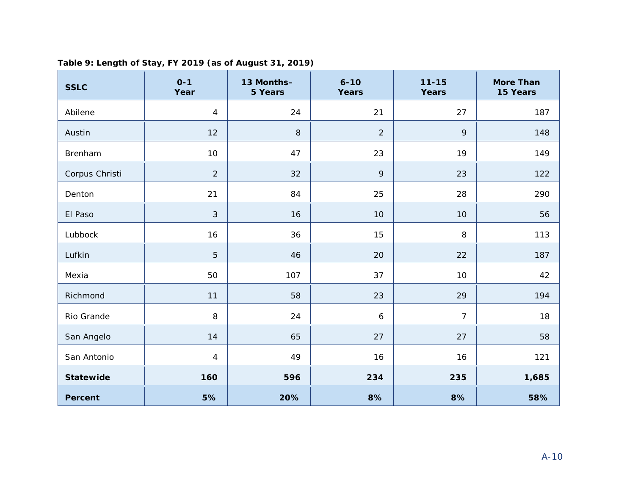| <b>SSLC</b>    | $0 - 1$<br>Year | 13 Months-<br>5 Years | $6 - 10$<br><b>Years</b> | $11 - 15$<br>Years | <b>More Than</b><br>15 Years |
|----------------|-----------------|-----------------------|--------------------------|--------------------|------------------------------|
| Abilene        | 4               | 24                    | 21                       | 27                 | 187                          |
| Austin         | 12              | 8                     | $\overline{2}$           | 9                  | 148                          |
| Brenham        | 10              | 47                    | 23                       | 19                 | 149                          |
| Corpus Christi | $\overline{2}$  | 32                    | 9                        | 23                 | 122                          |
| Denton         | 21              | 84                    | 25                       | 28                 | 290                          |
| $F1$ Dass      | $\sim$          | $\sim$                | 10 <sup>1</sup>          | 10 <sup>1</sup>    | $\Gamma$                     |

# **Table 9: Length of Stay, FY 2019 (as of August 31, 2019)**

| <b>ADJIGLIG</b>  | $^{+}$          | 4      | $\sim$ 1         | $\angle$ /     | 101   |
|------------------|-----------------|--------|------------------|----------------|-------|
| Austin           | 12              | $\, 8$ | $\sqrt{2}$       | $\mathsf{q}$   | 148   |
| Brenham          | 10 <sup>°</sup> | 47     | 23               | 19             | 149   |
| Corpus Christi   | $\overline{2}$  | 32     | $\,9$            | 23             | 122   |
| Denton           | 21              | 84     | 25               | 28             | 290   |
| El Paso          | 3               | 16     | 10               | $10$           | 56    |
| Lubbock          | 16              | 36     | $15$             | 8              | 113   |
| Lufkin           | 5               | 46     | 20               | 22             | 187   |
| Mexia            | 50              | 107    | 37               | $10$           | 42    |
| Richmond         | 11              | 58     | 23               | 29             | 194   |
| Rio Grande       | 8               | 24     | $\boldsymbol{6}$ | $\overline{7}$ | 18    |
| San Angelo       | 14              | 65     | 27               | $27\,$         | 58    |
| San Antonio      | $\overline{4}$  | 49     | 16               | 16             | 121   |
| <b>Statewide</b> | 160             | 596    | 234              | 235            | 1,685 |
| <b>Percent</b>   | 5%              | 20%    | 8%               | 8%             | 58%   |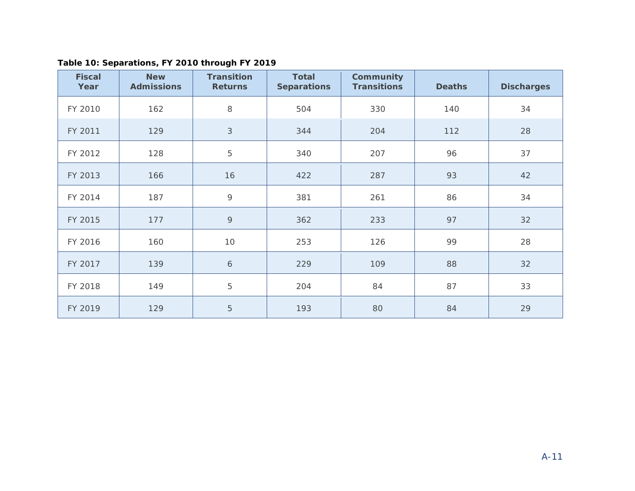| <b>Fiscal</b><br>Year | <b>New</b><br><b>Admissions</b> | <b>Transition</b><br><b>Returns</b> | <b>Total</b><br><b>Separations</b> | Community<br><b>Transitions</b> | <b>Deaths</b> | <b>Discharges</b> |
|-----------------------|---------------------------------|-------------------------------------|------------------------------------|---------------------------------|---------------|-------------------|
| FY 2010               | 162                             | 8                                   | 504                                | 330                             | 140           | 34                |
| FY 2011               | 129                             | $\sqrt{3}$                          | 344                                | 204                             | 112           | 28                |
| FY 2012               | 128                             | $\mathbf 5$                         | 340                                | 207                             | 96            | 37                |
| FY 2013               | 166                             | 16                                  | 422                                | 287                             | 93            | 42                |
| FY 2014               | 187                             | $\circ$                             | 381                                | 261                             | 86            | 34                |
| FY 2015               | 177                             | $\circ$                             | 362                                | 233                             | 97            | 32                |
| FY 2016               | 160                             | 10                                  | 253                                | 126                             | 99            | 28                |
| FY 2017               | 139                             | $\boldsymbol{6}$                    | 229                                | 109                             | 88            | 32                |
| FY 2018               | 149                             | $\overline{5}$                      | 204                                | 84                              | 87            | 33                |
| FY 2019               | 129                             | 5                                   | 193                                | 80                              | 84            | 29                |

**Table 10: Separations, FY 2010 through FY 2019**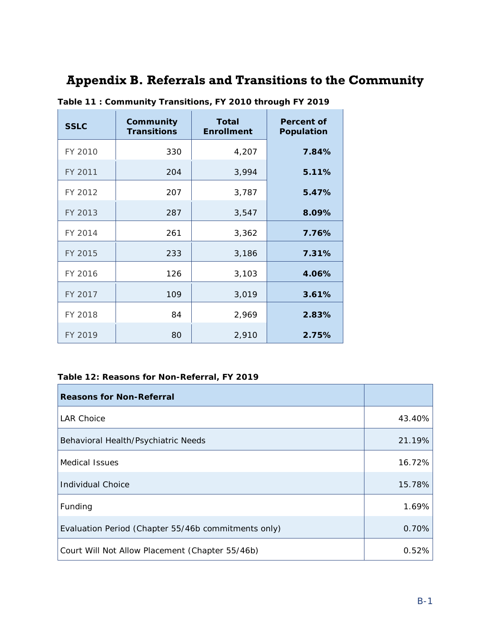#### <span id="page-54-0"></span>**Appendix B. Referrals and Transitions to the Community**

<span id="page-54-5"></span><span id="page-54-4"></span><span id="page-54-3"></span><span id="page-54-2"></span><span id="page-54-1"></span>

| <b>SSLC</b> | Community<br><b>Transitions</b> | Total<br><b>Enrollment</b> | Percent of<br>Population |
|-------------|---------------------------------|----------------------------|--------------------------|
| FY 2010     | 330                             | 4,207                      | 7.84%                    |
| FY 2011     | 204                             | 3,994                      | 5.11%                    |
| FY 2012     | 207                             | 3,787                      | 5.47%                    |
| FY 2013     | 287                             | 3,547                      | 8.09%                    |
| FY 2014     | 261                             | 3,362                      | 7.76%                    |
| FY 2015     | 233                             | 3,186                      | 7.31%                    |
| FY 2016     | 126                             | 3,103                      | 4.06%                    |
| FY 2017     | 109                             | 3,019                      | 3.61%                    |
| FY 2018     | 84                              | 2,969                      | 2.83%                    |
| FY 2019     | 80                              | 2,910                      | 2.75%                    |

**Table 11 : Community Transitions, FY 2010 through FY 2019**

#### <span id="page-54-14"></span><span id="page-54-13"></span><span id="page-54-12"></span><span id="page-54-11"></span><span id="page-54-10"></span><span id="page-54-9"></span><span id="page-54-8"></span><span id="page-54-7"></span><span id="page-54-6"></span>**Table 12: Reasons for Non-Referral, FY 2019**

<span id="page-54-23"></span><span id="page-54-22"></span><span id="page-54-21"></span><span id="page-54-20"></span><span id="page-54-19"></span><span id="page-54-18"></span><span id="page-54-17"></span><span id="page-54-16"></span><span id="page-54-15"></span>

| <b>Reasons for Non-Referral</b>                     |        |
|-----------------------------------------------------|--------|
| <b>LAR Choice</b>                                   | 43.40% |
| Behavioral Health/Psychiatric Needs                 | 21.19% |
| <b>Medical Issues</b>                               | 16.72% |
| <b>Individual Choice</b>                            | 15.78% |
| Funding                                             | 1.69%  |
| Evaluation Period (Chapter 55/46b commitments only) | 0.70%  |
| Court Will Not Allow Placement (Chapter 55/46b)     | 0.52%  |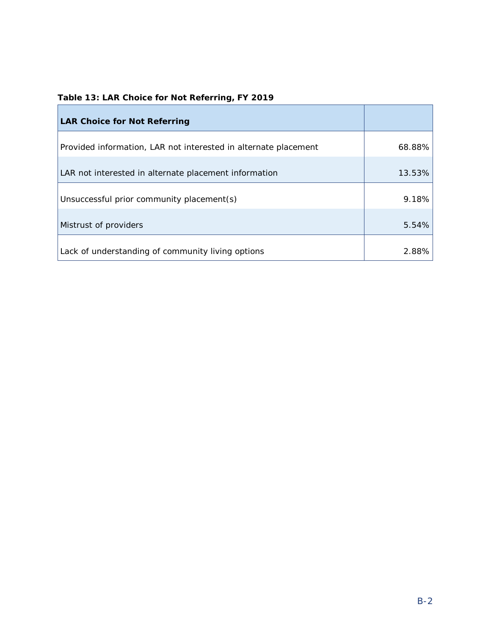<span id="page-55-0"></span>

|  |  |  | Table 13: LAR Choice for Not Referring, FY 2019 |  |
|--|--|--|-------------------------------------------------|--|
|  |  |  |                                                 |  |

<span id="page-55-18"></span><span id="page-55-17"></span><span id="page-55-16"></span><span id="page-55-15"></span><span id="page-55-14"></span><span id="page-55-13"></span><span id="page-55-12"></span><span id="page-55-11"></span><span id="page-55-10"></span><span id="page-55-9"></span><span id="page-55-8"></span><span id="page-55-7"></span><span id="page-55-6"></span><span id="page-55-5"></span><span id="page-55-4"></span><span id="page-55-3"></span><span id="page-55-2"></span><span id="page-55-1"></span>

| <b>LAR Choice for Not Referring</b>                             |        |
|-----------------------------------------------------------------|--------|
| Provided information, LAR not interested in alternate placement | 68.88% |
| LAR not interested in alternate placement information           | 13.53% |
| Unsuccessful prior community placement(s)                       | 9.18%  |
| Mistrust of providers                                           | 5.54%  |
| Lack of understanding of community living options               | 2.88%  |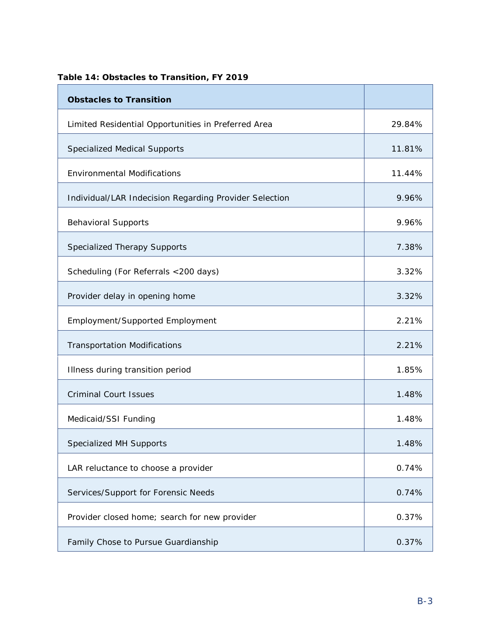<span id="page-56-19"></span><span id="page-56-18"></span><span id="page-56-17"></span><span id="page-56-16"></span><span id="page-56-15"></span><span id="page-56-14"></span><span id="page-56-13"></span><span id="page-56-12"></span><span id="page-56-11"></span><span id="page-56-10"></span><span id="page-56-9"></span><span id="page-56-8"></span><span id="page-56-7"></span><span id="page-56-6"></span><span id="page-56-5"></span><span id="page-56-4"></span><span id="page-56-3"></span><span id="page-56-2"></span><span id="page-56-1"></span><span id="page-56-0"></span>

| <b>Obstacles to Transition</b>                         |        |
|--------------------------------------------------------|--------|
| Limited Residential Opportunities in Preferred Area    | 29.84% |
| <b>Specialized Medical Supports</b>                    | 11.81% |
| <b>Environmental Modifications</b>                     | 11.44% |
| Individual/LAR Indecision Regarding Provider Selection | 9.96%  |
| <b>Behavioral Supports</b>                             | 9.96%  |
| <b>Specialized Therapy Supports</b>                    | 7.38%  |
| Scheduling (For Referrals <200 days)                   | 3.32%  |
| Provider delay in opening home                         | 3.32%  |
| Employment/Supported Employment                        | 2.21%  |
| <b>Transportation Modifications</b>                    | 2.21%  |
| Illness during transition period                       | 1.85%  |
| <b>Criminal Court Issues</b>                           | 1.48%  |
| Medicaid/SSI Funding                                   | 1.48%  |
| <b>Specialized MH Supports</b>                         | 1.48%  |
| LAR reluctance to choose a provider                    | 0.74%  |
| Services/Support for Forensic Needs                    | 0.74%  |
| Provider closed home; search for new provider          | 0.37%  |
| Family Chose to Pursue Guardianship                    | 0.37%  |

#### **Table 14: Obstacles to Transition, FY 2019**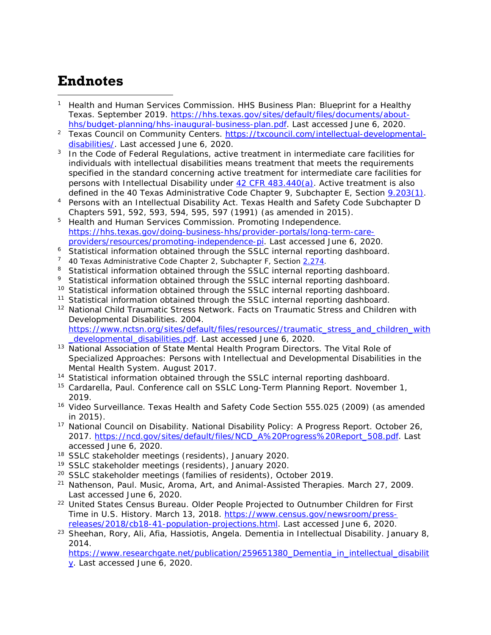# **Endnotes**

- <sup>1</sup> Health and Human Services Commission. HHS Business Plan: Blueprint for a Healthy Texas. September 2019. [https://hhs.texas.gov/sites/default/files/documents/about](https://hhs.texas.gov/sites/default/files/documents/about-hhs/budget-planning/hhs-inaugural-business-plan.pdf)[hhs/budget-planning/hhs-inaugural-business-plan.pdf.](https://hhs.texas.gov/sites/default/files/documents/about-hhs/budget-planning/hhs-inaugural-business-plan.pdf) Last accessed June 6, 2020. l
- <sup>2</sup> Texas Council on Community Centers. [https://txcouncil.com/intellectual-developmental](https://txcouncil.com/intellectual-developmental-disabilities/)[disabilities/.](https://txcouncil.com/intellectual-developmental-disabilities/) Last accessed June 6, 2020.
- $3$  In the Code of Federal Regulations, active treatment in intermediate care facilities for individuals with intellectual disabilities means treatment that meets the requirements specified in the standard concerning active treatment for intermediate care facilities for persons with Intellectual Disability under  $42$  CFR  $483.440(a)$ . Active treatment is also defined in the 40 Texas Administrative Code Chapter 9, Subchapter E, Section [9.203\(1\).](https://texreg.sos.state.tx.us/public/readtac$ext.TacPage?sl=R&app=9&p_dir=&p_rloc=&p_tloc=&p_ploc=&pg=1&p_tac=&ti=40&pt=1&ch=9&rl=203)
- <sup>4</sup> Persons with an Intellectual Disability Act. Texas Health and Safety Code Subchapter D Chapters 591, 592, 593, 594, 595, 597 (1991) (as amended in 2015).
- <sup>5</sup> Health and Human Services Commission. Promoting Independence. [https://hhs.texas.gov/doing-business-hhs/provider-portals/long-term-care](https://hhs.texas.gov/doing-business-hhs/provider-portals/long-term-care-providers/resources/promoting-independence-pi)[providers/resources/promoting-independence-pi.](https://hhs.texas.gov/doing-business-hhs/provider-portals/long-term-care-providers/resources/promoting-independence-pi) Last accessed June 6, 2020.
- <sup>6</sup> Statistical information obtained through the SSLC internal reporting dashboard.
- <sup>7</sup> 40 Texas Administrative Code Chapter 2, Subchapter F, Section  $2.274$ .
- <sup>8</sup> Statistical information obtained through the SSLC internal reporting dashboard.
- <sup>9</sup> Statistical information obtained through the SSLC internal reporting dashboard.
- <sup>10</sup> Statistical information obtained through the SSLC internal reporting dashboard.
- <sup>11</sup> Statistical information obtained through the SSLC internal reporting dashboard.
- <sup>12</sup> National Child Traumatic Stress Network. Facts on Traumatic Stress and Children with Developmental Disabilities. 2004. [https://www.nctsn.org/sites/default/files/resources//traumatic\\_stress\\_and\\_children\\_with](https://www.nctsn.org/sites/default/files/resources/traumatic_stress_and_children_with_developmental_disabilities.pdf)
- developmental disabilities.pdf. Last accessed June 6, 2020. <sup>13</sup> National Association of State Mental Health Program Directors. The Vital Role of Specialized Approaches: Persons with Intellectual and Developmental Disabilities in the Mental Health System. August 2017.
- <sup>14</sup> Statistical information obtained through the SSLC internal reporting dashboard.
- <sup>15</sup> Cardarella, Paul. Conference call on SSLC Long-Term Planning Report. November 1, 2019.
- <sup>16</sup> Video Surveillance. Texas Health and Safety Code Section 555.025 (2009) (as amended in 2015).
- <sup>17</sup> National Council on Disability. National Disability Policy: A Progress Report. October 26, 2017. [https://ncd.gov/sites/default/files/NCD\\_A%20Progress%20Report\\_508.pdf.](https://ncd.gov/sites/default/files/NCD_A%20Progress%20Report_508.pdf) Last accessed June 6, 2020.
- <sup>18</sup> SSLC stakeholder meetings (residents), January 2020.
- <sup>19</sup> SSLC stakeholder meetings (residents), January 2020.
- <sup>20</sup> SSLC stakeholder meetings (families of residents), October 2019.
- <sup>21</sup> Nathenson, Paul. Music, Aroma, Art, and Animal-Assisted Therapies. March 27, 2009. Last accessed June 6, 2020.
- <sup>22</sup> United States Census Bureau. Older People Projected to Outnumber Children for First Time in U.S. History. March 13, 2018. [https://www.census.gov/newsroom/press](https://www.census.gov/newsroom/press-releases/2018/cb18-41-population-projections.html)[releases/2018/cb18-41-population-projections.html.](https://www.census.gov/newsroom/press-releases/2018/cb18-41-population-projections.html) Last accessed June 6, 2020.
- <sup>23</sup> Sheehan, Rory, Ali, Afia, Hassiotis, Angela. Dementia in Intellectual Disability. January 8, 2014.

[https://www.researchgate.net/publication/259651380\\_Dementia\\_in\\_intellectual\\_disabilit](https://www.researchgate.net/publication/259651380_Dementia_in_intellectual_disability) [y.](https://www.researchgate.net/publication/259651380_Dementia_in_intellectual_disability) Last accessed June 6, 2020.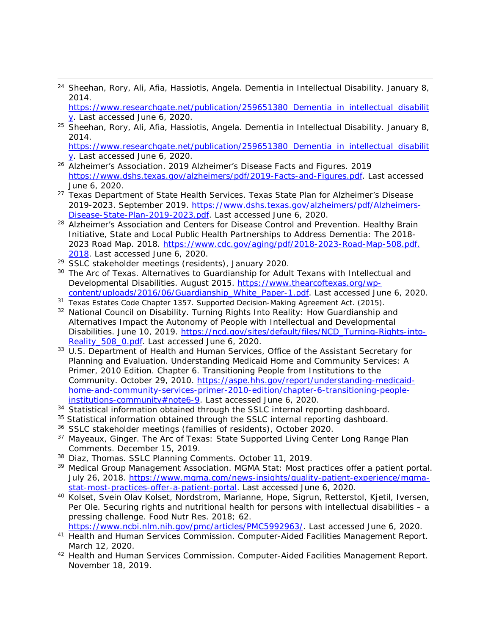<sup>24</sup> Sheehan, Rory, Ali, Afia, Hassiotis, Angela. Dementia in Intellectual Disability. January 8, 2014.

[https://www.researchgate.net/publication/259651380\\_Dementia\\_in\\_intellectual\\_disabilit](https://www.researchgate.net/publication/259651380_Dementia_in_intellectual_disability) [y.](https://www.researchgate.net/publication/259651380_Dementia_in_intellectual_disability) Last accessed June 6, 2020.

<sup>25</sup> Sheehan, Rory, Ali, Afia, Hassiotis, Angela. Dementia in Intellectual Disability. January 8, 2014.

[https://www.researchgate.net/publication/259651380\\_Dementia\\_in\\_intellectual\\_disabilit](https://www.researchgate.net/publication/259651380_Dementia_in_intellectual_disability) [y.](https://www.researchgate.net/publication/259651380_Dementia_in_intellectual_disability) Last accessed June 6, 2020.

- <sup>26</sup> Alzheimer's Association. 2019 Alzheimer's Disease Facts and Figures. 2019 [https://www.dshs.texas.gov/alzheimers/pdf/2019-Facts-and-Figures.pdf.](https://www.dshs.texas.gov/alzheimers/pdf/2019-Facts-and-Figures.pdf) Last accessed June 6, 2020.
- <sup>27</sup> Texas Department of State Health Services. Texas State Plan for Alzheimer's Disease 2019-2023. September 2019. [https://www.dshs.texas.gov/alzheimers/pdf/Alzheimers-](https://www.dshs.texas.gov/alzheimers/pdf/Alzheimers-Disease-State-Plan-2019-2023.pdf)[Disease-State-Plan-2019-2023.pdf.](https://www.dshs.texas.gov/alzheimers/pdf/Alzheimers-Disease-State-Plan-2019-2023.pdf) Last accessed June 6, 2020.
- <sup>28</sup> Alzheimer's Association and Centers for Disease Control and Prevention. Healthy Brain Initiative, State and Local Public Health Partnerships to Address Dementia: The 2018- 2023 Road Map. 2018. [https://www.cdc.gov/aging/pdf/2018-2023-Road-Map-508.pdf.](https://www.cdc.gov/aging/pdf/2018-2023-Road-Map-508.pdf.%202018)  [2018.](https://www.cdc.gov/aging/pdf/2018-2023-Road-Map-508.pdf.%202018) Last accessed June 6, 2020.
- <sup>29</sup> SSLC stakeholder meetings (residents), January 2020.
- <sup>30</sup> The Arc of Texas. Alternatives to Guardianship for Adult Texans with Intellectual and Developmental Disabilities. August 2015. [https://www.thearcoftexas.org/wp](https://www.thearcoftexas.org/wp-content/uploads/2016/06/Guardianship_White_Paper-1.pdf)[content/uploads/2016/06/Guardianship\\_White\\_Paper-1.pdf.](https://www.thearcoftexas.org/wp-content/uploads/2016/06/Guardianship_White_Paper-1.pdf) Last accessed June 6, 2020.
- <sup>31</sup> Texas Estates Code Chapter 1357. Supported Decision-Making Agreement Act. (2015).
- <sup>32</sup> National Council on Disability. Turning Rights Into Reality: How Guardianship and Alternatives Impact the Autonomy of People with Intellectual and Developmental Disabilities. June 10, 2019. [https://ncd.gov/sites/default/files/NCD\\_Turning-Rights-into-](https://ncd.gov/sites/default/files/NCD_Turning-Rights-into-Reality_508_0.pdf)Reality 508 0.pdf. Last accessed June 6, 2020.
- <sup>33</sup> U.S. Department of Health and Human Services, Office of the Assistant Secretary for Planning and Evaluation. Understanding Medicaid Home and Community Services: A Primer, 2010 Edition. Chapter 6. Transitioning People from Institutions to the Community. October 29, 2010. [https://aspe.hhs.gov/report/understanding-medicaid](https://aspe.hhs.gov/report/understanding-medicaid-home-and-community-services-primer-2010-edition/chapter-6-transitioning-people-institutions-community#note6-9)[home-and-community-services-primer-2010-edition/chapter-6-transitioning-people](https://aspe.hhs.gov/report/understanding-medicaid-home-and-community-services-primer-2010-edition/chapter-6-transitioning-people-institutions-community#note6-9)[institutions-community#note6-9.](https://aspe.hhs.gov/report/understanding-medicaid-home-and-community-services-primer-2010-edition/chapter-6-transitioning-people-institutions-community#note6-9) Last accessed June 6, 2020.
- 34 Statistical information obtained through the SSLC internal reporting dashboard.
- <sup>35</sup> Statistical information obtained through the SSLC internal reporting dashboard.
- <sup>36</sup> SSLC stakeholder meetings (families of residents), October 2020.
- <sup>37</sup> Mayeaux, Ginger. The Arc of Texas: State Supported Living Center Long Range Plan Comments. December 15, 2019.
- 38 Diaz, Thomas. SSLC Planning Comments. October 11, 2019.
- <sup>39</sup> Medical Group Management Association. MGMA Stat: Most practices offer a patient portal. July 26, 2018. [https://www.mgma.com/news-insights/quality-patient-experience/mgma](https://www.mgma.com/news-insights/quality-patient-experience/mgma-stat-most-practices-offer-a-patient-portal)[stat-most-practices-offer-a-patient-portal.](https://www.mgma.com/news-insights/quality-patient-experience/mgma-stat-most-practices-offer-a-patient-portal) Last accessed June 6, 2020.
- <sup>40</sup> Kolset, Svein Olav Kolset, Nordstrom, Marianne, Hope, Sigrun, Retterstol, Kjetil, Iversen, Per Ole. Securing rights and nutritional health for persons with intellectual disabilities - a pressing challenge. Food Nutr Res. 2018; 62. [https://www.ncbi.nlm.nih.gov/pmc/articles/PMC5992963/.](https://www.ncbi.nlm.nih.gov/pmc/articles/PMC5992963/) Last accessed June 6, 2020.
- <sup>41</sup> Health and Human Services Commission. Computer-Aided Facilities Management Report. March 12, 2020.
- 42 Health and Human Services Commission. Computer-Aided Facilities Management Report. November 18, 2019.